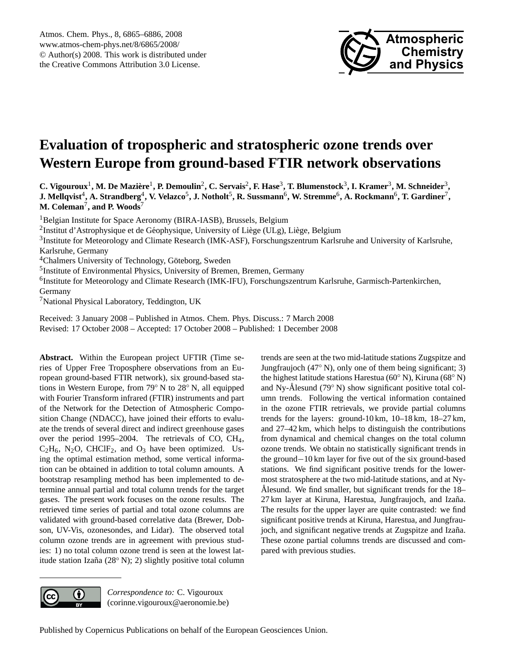

# **Evaluation of tropospheric and stratospheric ozone trends over Western Europe from ground-based FTIR network observations**

C. Vigouroux<sup>1</sup>, M. De Mazière<sup>1</sup>, P. Demoulin<sup>2</sup>, C. Servais<sup>2</sup>, F. Hase<sup>3</sup>, T. Blumenstock<sup>3</sup>, I. Kramer<sup>3</sup>, M. Schneider<sup>3</sup>,  ${\bf J.}$  Mellqvist $^4,$  A. Strandberg $^4,$  V. Velazco $^5,$  J. Notholt $^5,$  R. Sussmann $^6,$  W. Stremme $^6,$  A. Rockmann $^6,$  T. Gardiner $^7,$ **M. Coleman**<sup>7</sup> **, and P. Woods**<sup>7</sup>

<sup>1</sup>Belgian Institute for Space Aeronomy (BIRA-IASB), Brussels, Belgium <sup>2</sup>Institut d'Astrophysique et de Géophysique, University of Liège (ULg), Liège, Belgium <sup>3</sup>Institute for Meteorology and Climate Research (IMK-ASF), Forschungszentrum Karlsruhe and University of Karlsruhe, Karlsruhe, Germany <sup>4</sup>Chalmers University of Technology, Göteborg, Sweden <sup>5</sup>Institute of Environmental Physics, University of Bremen, Bremen, Germany <sup>6</sup>Institute for Meteorology and Climate Research (IMK-IFU), Forschungszentrum Karlsruhe, Garmisch-Partenkirchen, Germany <sup>7</sup>National Physical Laboratory, Teddington, UK

Received: 3 January 2008 – Published in Atmos. Chem. Phys. Discuss.: 7 March 2008 Revised: 17 October 2008 – Accepted: 17 October 2008 – Published: 1 December 2008

**Abstract.** Within the European project UFTIR (Time series of Upper Free Troposphere observations from an European ground-based FTIR network), six ground-based stations in Western Europe, from 79◦ N to 28◦ N, all equipped with Fourier Transform infrared (FTIR) instruments and part of the Network for the Detection of Atmospheric Composition Change (NDACC), have joined their efforts to evaluate the trends of several direct and indirect greenhouse gases over the period 1995–2004. The retrievals of CO, CH4,  $C_2H_6$ , N<sub>2</sub>O, CHClF<sub>2</sub>, and O<sub>3</sub> have been optimized. Using the optimal estimation method, some vertical information can be obtained in addition to total column amounts. A bootstrap resampling method has been implemented to determine annual partial and total column trends for the target gases. The present work focuses on the ozone results. The retrieved time series of partial and total ozone columns are validated with ground-based correlative data (Brewer, Dobson, UV-Vis, ozonesondes, and Lidar). The observed total column ozone trends are in agreement with previous studies: 1) no total column ozone trend is seen at the lowest latitude station Izaña (28° N); 2) slightly positive total column

trends are seen at the two mid-latitude stations Zugspitze and Jungfraujoch (47 $\degree$  N), only one of them being significant; 3) the highest latitude stations Harestua (60◦ N), Kiruna (68◦ N) and Ny-Ålesund (79° N) show significant positive total column trends. Following the vertical information contained in the ozone FTIR retrievals, we provide partial columns trends for the layers: ground-10 km, 10–18 km, 18–27 km, and 27–42 km, which helps to distinguish the contributions from dynamical and chemical changes on the total column ozone trends. We obtain no statistically significant trends in the ground−10 km layer for five out of the six ground-based stations. We find significant positive trends for the lowermost stratosphere at the two mid-latitude stations, and at Ny-Alesund. We find smaller, but significant trends for the  $18-$ 27 km layer at Kiruna, Harestua, Jungfraujoch, and Izaña. The results for the upper layer are quite contrasted: we find significant positive trends at Kiruna, Harestua, and Jungfraujoch, and significant negative trends at Zugspitze and Izaña. These ozone partial columns trends are discussed and compared with previous studies.



*Correspondence to:* C. Vigouroux (corinne.vigouroux@aeronomie.be)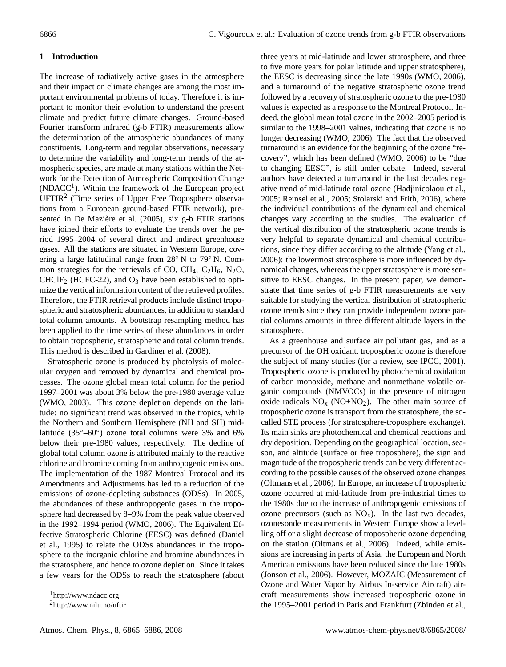# **1 Introduction**

The increase of radiatively active gases in the atmosphere and their impact on climate changes are among the most important environmental problems of today. Therefore it is important to monitor their evolution to understand the present climate and predict future climate changes. Ground-based Fourier transform infrared (g-b FTIR) measurements allow the determination of the atmospheric abundances of many constituents. Long-term and regular observations, necessary to determine the variability and long-term trends of the atmospheric species, are made at many stations within the Network for the Detection of Atmospheric Composition Change  $(NDACC<sup>1</sup>)$ . Within the framework of the European project  $UFTIR<sup>2</sup>$  (Time series of Upper Free Troposphere observations from a European ground-based FTIR network), presented in De Mazière et al. (2005), six g-b FTIR stations have joined their efforts to evaluate the trends over the period 1995–2004 of several direct and indirect greenhouse gases. All the stations are situated in Western Europe, covering a large latitudinal range from 28◦ N to 79◦ N. Common strategies for the retrievals of CO, CH<sub>4</sub>, C<sub>2</sub>H<sub>6</sub>, N<sub>2</sub>O,  $CHCIF<sub>2</sub>$  (HCFC-22), and  $O<sub>3</sub>$  have been established to optimize the vertical information content of the retrieved profiles. Therefore, the FTIR retrieval products include distinct tropospheric and stratospheric abundances, in addition to standard total column amounts. A bootstrap resampling method has been applied to the time series of these abundances in order to obtain tropospheric, stratospheric and total column trends. This method is described in Gardiner et al. (2008).

Stratospheric ozone is produced by photolysis of molecular oxygen and removed by dynamical and chemical processes. The ozone global mean total column for the period 1997–2001 was about 3% below the pre-1980 average value (WMO, 2003). This ozone depletion depends on the latitude: no significant trend was observed in the tropics, while the Northern and Southern Hemisphere (NH and SH) midlatitude (35◦–60◦ ) ozone total columns were 3% and 6% below their pre-1980 values, respectively. The decline of global total column ozone is attributed mainly to the reactive chlorine and bromine coming from anthropogenic emissions. The implementation of the 1987 Montreal Protocol and its Amendments and Adjustments has led to a reduction of the emissions of ozone-depleting substances (ODSs). In 2005, the abundances of these anthropogenic gases in the troposphere had decreased by 8–9% from the peak value observed in the 1992–1994 period (WMO, 2006). The Equivalent Effective Stratospheric Chlorine (EESC) was defined (Daniel et al., 1995) to relate the ODSs abundances in the troposphere to the inorganic chlorine and bromine abundances in the stratosphere, and hence to ozone depletion. Since it takes a few years for the ODSs to reach the stratosphere (about three years at mid-latitude and lower stratosphere, and three to five more years for polar latitude and upper stratosphere), the EESC is decreasing since the late 1990s (WMO, 2006), and a turnaround of the negative stratospheric ozone trend followed by a recovery of stratospheric ozone to the pre-1980 values is expected as a response to the Montreal Protocol. Indeed, the global mean total ozone in the 2002–2005 period is similar to the 1998–2001 values, indicating that ozone is no longer decreasing (WMO, 2006). The fact that the observed turnaround is an evidence for the beginning of the ozone "recovery", which has been defined (WMO, 2006) to be "due to changing EESC", is still under debate. Indeed, several authors have detected a turnaround in the last decades negative trend of mid-latitude total ozone (Hadjinicolaou et al., 2005; Reinsel et al., 2005; Stolarski and Frith, 2006), where the individual contributions of the dynamical and chemical changes vary according to the studies. The evaluation of the vertical distribution of the stratospheric ozone trends is very helpful to separate dynamical and chemical contributions, since they differ according to the altitude (Yang et al., 2006): the lowermost stratosphere is more influenced by dynamical changes, whereas the upper stratosphere is more sensitive to EESC changes. In the present paper, we demonstrate that time series of g-b FTIR measurements are very suitable for studying the vertical distribution of stratospheric ozone trends since they can provide independent ozone partial columns amounts in three different altitude layers in the stratosphere.

As a greenhouse and surface air pollutant gas, and as a precursor of the OH oxidant, tropospheric ozone is therefore the subject of many studies (for a review, see IPCC, 2001). Tropospheric ozone is produced by photochemical oxidation of carbon monoxide, methane and nonmethane volatile organic compounds (NMVOCs) in the presence of nitrogen oxide radicals  $NO<sub>x</sub>$  (NO+NO<sub>2</sub>). The other main source of tropospheric ozone is transport from the stratosphere, the socalled STE process (for stratosphere-troposphere exchange). Its main sinks are photochemical and chemical reactions and dry deposition. Depending on the geographical location, season, and altitude (surface or free troposphere), the sign and magnitude of the tropospheric trends can be very different according to the possible causes of the observed ozone changes (Oltmans et al., 2006). In Europe, an increase of tropospheric ozone occurred at mid-latitude from pre-industrial times to the 1980s due to the increase of anthropogenic emissions of ozone precursors (such as  $NO<sub>x</sub>$ ). In the last two decades, ozonesonde measurements in Western Europe show a levelling off or a slight decrease of tropospheric ozone depending on the station (Oltmans et al., 2006). Indeed, while emissions are increasing in parts of Asia, the European and North American emissions have been reduced since the late 1980s (Jonson et al., 2006). However, MOZAIC (Measurement of Ozone and Water Vapor by Airbus In-service Aircraft) aircraft measurements show increased tropospheric ozone in the 1995–2001 period in Paris and Frankfurt (Zbinden et al.,

<sup>&</sup>lt;sup>1</sup>http://www.ndacc.org

<sup>2</sup>http://www.nilu.no/uftir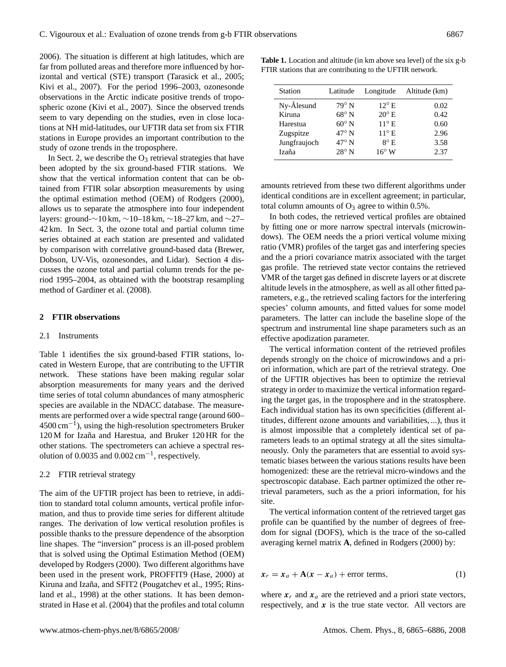2006). The situation is different at high latitudes, which are far from polluted areas and therefore more influenced by horizontal and vertical (STE) transport (Tarasick et al., 2005; Kivi et al., 2007). For the period 1996–2003, ozonesonde observations in the Arctic indicate positive trends of tropospheric ozone (Kivi et al., 2007). Since the observed trends seem to vary depending on the studies, even in close locations at NH mid-latitudes, our UFTIR data set from six FTIR stations in Europe provides an important contribution to the study of ozone trends in the troposphere.

In Sect. 2, we describe the  $O_3$  retrieval strategies that have been adopted by the six ground-based FTIR stations. We show that the vertical information content that can be obtained from FTIR solar absorption measurements by using the optimal estimation method (OEM) of Rodgers (2000), allows us to separate the atmosphere into four independent layers: ground-∼10 km, ∼10–18 km, ∼18–27 km, and ∼27– 42 km. In Sect. 3, the ozone total and partial column time series obtained at each station are presented and validated by comparison with correlative ground-based data (Brewer, Dobson, UV-Vis, ozonesondes, and Lidar). Section 4 discusses the ozone total and partial column trends for the period 1995–2004, as obtained with the bootstrap resampling method of Gardiner et al. (2008).

#### **2 FTIR observations**

#### 2.1 Instruments

Table 1 identifies the six ground-based FTIR stations, located in Western Europe, that are contributing to the UFTIR network. These stations have been making regular solar absorption measurements for many years and the derived time series of total column abundances of many atmospheric species are available in the NDACC database. The measurements are performed over a wide spectral range (around 600– 4500 cm−<sup>1</sup> ), using the high-resolution spectrometers Bruker 120 M for Izaña and Harestua, and Bruker 120 HR for the other stations. The spectrometers can achieve a spectral resolution of 0.0035 and  $0.002 \text{ cm}^{-1}$ , respectively.

#### 2.2 FTIR retrieval strategy

The aim of the UFTIR project has been to retrieve, in addition to standard total column amounts, vertical profile information, and thus to provide time series for different altitude ranges. The derivation of low vertical resolution profiles is possible thanks to the pressure dependence of the absorption line shapes. The "inversion" process is an ill-posed problem that is solved using the Optimal Estimation Method (OEM) developed by Rodgers (2000). Two different algorithms have been used in the present work, PROFFIT9 (Hase, 2000) at Kiruna and Izaña, and SFIT2 (Pougatchev et al., 1995; Rinsland et al., 1998) at the other stations. It has been demonstrated in Hase et al. (2004) that the profiles and total column

**Table 1.** Location and altitude (in km above sea level) of the six g-b FTIR stations that are contributing to the UFTIR network.

| Station      | Latitude       | Longitude      | Altitude (km) |
|--------------|----------------|----------------|---------------|
| Ny-Ålesund   | $79^\circ$ N   | $12^{\circ}$ E | 0.02          |
| Kiruna       | $68^{\circ}$ N | $20^{\circ}$ E | 0.42          |
| Harestua     | $60^{\circ}$ N | $11^{\circ}$ E | 0.60          |
| Zugspitze    | $47^\circ$ N   | $11^{\circ}$ E | 2.96          |
| Jungfraujoch | $47^\circ$ N   | $8^\circ$ E    | 3.58          |
| Izaña        | $28^\circ$ N   | $16^{\circ}$ W | 2.37          |

amounts retrieved from these two different algorithms under identical conditions are in excellent agreement; in particular, total column amounts of  $O_3$  agree to within 0.5%.

In both codes, the retrieved vertical profiles are obtained by fitting one or more narrow spectral intervals (microwindows). The OEM needs the a priori vertical volume mixing ratio (VMR) profiles of the target gas and interfering species and the a priori covariance matrix associated with the target gas profile. The retrieved state vector contains the retrieved VMR of the target gas defined in discrete layers or at discrete altitude levels in the atmosphere, as well as all other fitted parameters, e.g., the retrieved scaling factors for the interfering species' column amounts, and fitted values for some model parameters. The latter can include the baseline slope of the spectrum and instrumental line shape parameters such as an effective apodization parameter.

The vertical information content of the retrieved profiles depends strongly on the choice of microwindows and a priori information, which are part of the retrieval strategy. One of the UFTIR objectives has been to optimize the retrieval strategy in order to maximize the vertical information regarding the target gas, in the troposphere and in the stratosphere. Each individual station has its own specificities (different altitudes, different ozone amounts and variabilities, ...), thus it is almost impossible that a completely identical set of parameters leads to an optimal strategy at all the sites simultaneously. Only the parameters that are essential to avoid systematic biases between the various stations results have been homogenized: these are the retrieval micro-windows and the spectroscopic database. Each partner optimized the other retrieval parameters, such as the a priori information, for his site.

The vertical information content of the retrieved target gas profile can be quantified by the number of degrees of freedom for signal (DOFS), which is the trace of the so-called averaging kernel matrix **A**, defined in Rodgers (2000) by:

$$
x_r = x_a + A(x - x_a) + \text{error terms}, \tag{1}
$$

where  $x_r$  and  $x_a$  are the retrieved and a priori state vectors, respectively, and  $x$  is the true state vector. All vectors are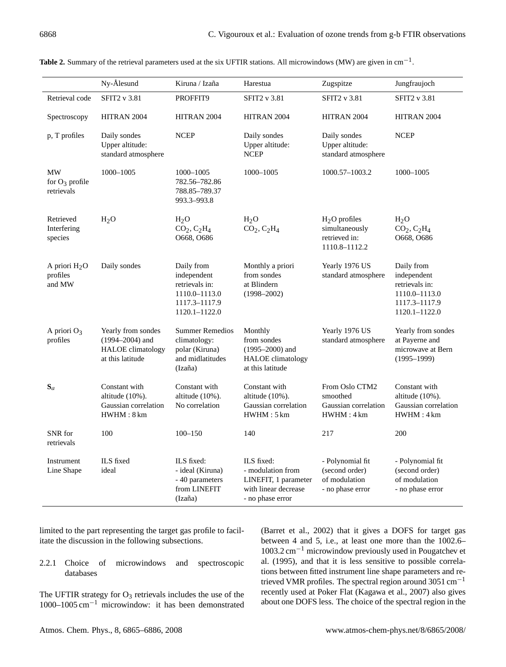|                                       | Ny-Ålesund                                                                                | Kiruna / Izaña                                                                                 | Harestua                                                                                            | Zugspitze                                                               | Jungfraujoch                                                                                   |
|---------------------------------------|-------------------------------------------------------------------------------------------|------------------------------------------------------------------------------------------------|-----------------------------------------------------------------------------------------------------|-------------------------------------------------------------------------|------------------------------------------------------------------------------------------------|
| Retrieval code                        | SFIT2 v 3.81                                                                              | PROFFIT9                                                                                       | SFIT2 v 3.81                                                                                        | <b>SFIT2</b> v 3.81                                                     | <b>SFIT2</b> v 3.81                                                                            |
| Spectroscopy                          | HITRAN 2004                                                                               | HITRAN 2004                                                                                    | HITRAN 2004                                                                                         | HITRAN 2004                                                             | HITRAN 2004                                                                                    |
| p, T profiles                         | Daily sondes<br>Upper altitude:<br>standard atmosphere                                    | <b>NCEP</b>                                                                                    | Daily sondes<br>Upper altitude:<br><b>NCEP</b>                                                      | Daily sondes<br>Upper altitude:<br>standard atmosphere                  | <b>NCEP</b>                                                                                    |
| MW<br>for $O_3$ profile<br>retrievals | 1000-1005                                                                                 | 1000-1005<br>782.56–782.86<br>788.85-789.37<br>993.3-993.8                                     | 1000-1005                                                                                           | 1000.57-1003.2                                                          | 1000-1005                                                                                      |
| Retrieved<br>Interfering<br>species   | H <sub>2</sub> O                                                                          | $H_2O$<br>$CO2, C2H4$<br>O668, O686                                                            | $H_2O$<br>$CO2, C2H4$                                                                               | $H2O$ profiles<br>simultaneously<br>retrieved in:<br>1110.8-1112.2      | $H_2O$<br>$CO2, C2H4$<br>O668, O686                                                            |
| A priori $H_2O$<br>profiles<br>and MW | Daily sondes                                                                              | Daily from<br>independent<br>retrievals in:<br>1110.0-1113.0<br>1117.3-1117.9<br>1120.1-1122.0 | Monthly a priori<br>from sondes<br>at Blindern<br>$(1998 - 2002)$                                   | Yearly 1976 US<br>standard atmosphere                                   | Daily from<br>independent<br>retrievals in:<br>1110.0-1113.0<br>1117.3-1117.9<br>1120.1-1122.0 |
| A priori $O_3$<br>profiles            | Yearly from sondes<br>$(1994 - 2004)$ and<br><b>HALOE</b> climatology<br>at this latitude | <b>Summer Remedios</b><br>climatology:<br>polar (Kiruna)<br>and midlatitudes<br>(Izaña)        | Monthly<br>from sondes<br>$(1995 - 2000)$ and<br><b>HALOE</b> climatology<br>at this latitude       | Yearly 1976 US<br>standard atmosphere                                   | Yearly from sondes<br>at Payerne and<br>microwave at Bern<br>$(1995 - 1999)$                   |
| $S_a$                                 | Constant with<br>altitude $(10\%)$ .<br>Gaussian correlation<br>HWHM:8 km                 | Constant with<br>altitude (10%).<br>No correlation                                             | Constant with<br>altitude (10%).<br>Gaussian correlation<br>HWHM:5km                                | From Oslo CTM2<br>smoothed<br>Gaussian correlation<br>HWHM:4km          | Constant with<br>altitude $(10\%)$ .<br>Gaussian correlation<br>HWHM:4km                       |
| SNR for<br>retrievals                 | 100                                                                                       | $100 - 150$                                                                                    | 140                                                                                                 | 217                                                                     | 200                                                                                            |
| Instrument<br>Line Shape              | ILS fixed<br>ideal                                                                        | ILS fixed:<br>- ideal (Kiruna)<br>- 40 parameters<br>from LINEFIT<br>(Izaña)                   | ILS fixed:<br>- modulation from<br>LINEFIT, 1 parameter<br>with linear decrease<br>- no phase error | - Polynomial fit<br>(second order)<br>of modulation<br>- no phase error | - Polynomial fit<br>(second order)<br>of modulation<br>- no phase error                        |

Table 2. Summary of the retrieval parameters used at the six UFTIR stations. All microwindows (MW) are given in cm<sup>-1</sup>.

limited to the part representing the target gas profile to facilitate the discussion in the following subsections.

2.2.1 Choice of microwindows and spectroscopic databases

The UFTIR strategy for  $O_3$  retrievals includes the use of the 1000–1005 cm−<sup>1</sup> microwindow: it has been demonstrated (Barret et al., 2002) that it gives a DOFS for target gas between 4 and 5, i.e., at least one more than the 1002.6– 1003.2 cm−<sup>1</sup> microwindow previously used in Pougatchev et al. (1995), and that it is less sensitive to possible correlations between fitted instrument line shape parameters and retrieved VMR profiles. The spectral region around 3051 cm<sup>-1</sup> recently used at Poker Flat (Kagawa et al., 2007) also gives about one DOFS less. The choice of the spectral region in the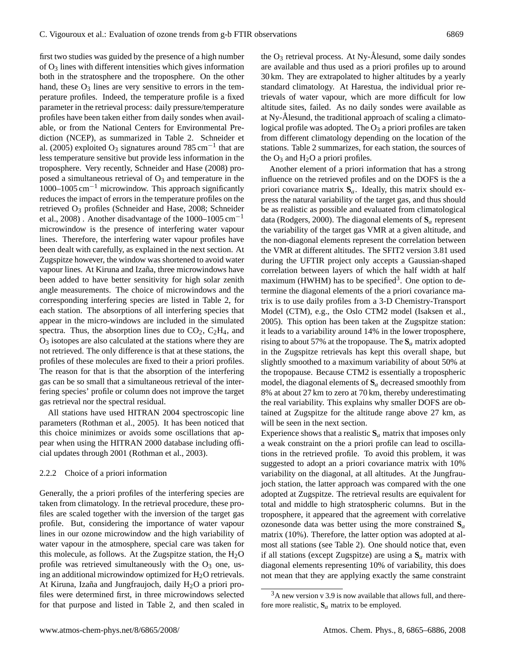first two studies was guided by the presence of a high number of  $O_3$  lines with different intensities which gives information both in the stratosphere and the troposphere. On the other hand, these  $O_3$  lines are very sensitive to errors in the temperature profiles. Indeed, the temperature profile is a fixed parameter in the retrieval process: daily pressure/temperature profiles have been taken either from daily sondes when available, or from the National Centers for Environmental Prediction (NCEP), as summarized in Table 2. Schneider et al. (2005) exploited O<sub>3</sub> signatures around 785 cm<sup>-1</sup> that are less temperature sensitive but provide less information in the troposphere. Very recently, Schneider and Hase (2008) proposed a simultaneous retrieval of  $O_3$  and temperature in the  $1000-1005$  cm<sup>-1</sup> microwindow. This approach significantly reduces the impact of errors in the temperature profiles on the retrieved O<sup>3</sup> profiles (Schneider and Hase, 2008; Schneider et al., 2008). Another disadvantage of the 1000–1005 cm<sup>-1</sup> microwindow is the presence of interfering water vapour lines. Therefore, the interfering water vapour profiles have been dealt with carefully, as explained in the next section. At Zugspitze however, the window was shortened to avoid water vapour lines. At Kiruna and Izaña, three microwindows have been added to have better sensitivity for high solar zenith angle measurements. The choice of microwindows and the corresponding interfering species are listed in Table 2, for each station. The absorptions of all interfering species that appear in the micro-windows are included in the simulated spectra. Thus, the absorption lines due to  $CO<sub>2</sub>$ ,  $C<sub>2</sub>H<sub>4</sub>$ , and  $O<sub>3</sub>$  isotopes are also calculated at the stations where they are not retrieved. The only difference is that at these stations, the profiles of these molecules are fixed to their a priori profiles. The reason for that is that the absorption of the interfering gas can be so small that a simultaneous retrieval of the interfering species' profile or column does not improve the target gas retrieval nor the spectral residual.

All stations have used HITRAN 2004 spectroscopic line parameters (Rothman et al., 2005). It has been noticed that this choice minimizes or avoids some oscillations that appear when using the HITRAN 2000 database including official updates through 2001 (Rothman et al., 2003).

#### 2.2.2 Choice of a priori information

Generally, the a priori profiles of the interfering species are taken from climatology. In the retrieval procedure, these profiles are scaled together with the inversion of the target gas profile. But, considering the importance of water vapour lines in our ozone microwindow and the high variability of water vapour in the atmosphere, special care was taken for this molecule, as follows. At the Zugspitze station, the  $H_2O$ profile was retrieved simultaneously with the  $O_3$  one, using an additional microwindow optimized for  $H_2O$  retrievals. At Kiruna, Izaña and Jungfraujoch, daily  $H_2O$  a priori profiles were determined first, in three microwindows selected for that purpose and listed in Table 2, and then scaled in the  $O_3$  retrieval process. At Ny-Ålesund, some daily sondes are available and thus used as a priori profiles up to around 30 km. They are extrapolated to higher altitudes by a yearly standard climatology. At Harestua, the individual prior retrievals of water vapour, which are more difficult for low altitude sites, failed. As no daily sondes were available as at Ny-Ålesund, the traditional approach of scaling a climatological profile was adopted. The  $O_3$  a priori profiles are taken from different climatology depending on the location of the stations. Table 2 summarizes, for each station, the sources of the  $O_3$  and  $H_2O$  a priori profiles.

Another element of a priori information that has a strong influence on the retrieved profiles and on the DOFS is the a priori covariance matrix  $S_a$ . Ideally, this matrix should express the natural variability of the target gas, and thus should be as realistic as possible and evaluated from climatological data (Rodgers, 2000). The diagonal elements of  $S_a$  represent the variability of the target gas VMR at a given altitude, and the non-diagonal elements represent the correlation between the VMR at different altitudes. The SFIT2 version 3.81 used during the UFTIR project only accepts a Gaussian-shaped correlation between layers of which the half width at half maximum (HWHM) has to be specified<sup>3</sup>. One option to determine the diagonal elements of the a priori covariance matrix is to use daily profiles from a 3-D Chemistry-Transport Model (CTM), e.g., the Oslo CTM2 model (Isaksen et al., 2005). This option has been taken at the Zugspitze station: it leads to a variability around 14% in the lower troposphere, rising to about 57% at the tropopause. The **S**<sup>a</sup> matrix adopted in the Zugspitze retrievals has kept this overall shape, but slightly smoothed to a maximum variability of about 50% at the tropopause. Because CTM2 is essentially a tropospheric model, the diagonal elements of **S**<sup>a</sup> decreased smoothly from 8% at about 27 km to zero at 70 km, thereby underestimating the real variability. This explains why smaller DOFS are obtained at Zugspitze for the altitude range above 27 km, as will be seen in the next section.

Experience shows that a realistic  $S_a$  matrix that imposes only a weak constraint on the a priori profile can lead to oscillations in the retrieved profile. To avoid this problem, it was suggested to adopt an a priori covariance matrix with 10% variability on the diagonal, at all altitudes. At the Jungfraujoch station, the latter approach was compared with the one adopted at Zugspitze. The retrieval results are equivalent for total and middle to high stratospheric columns. But in the troposphere, it appeared that the agreement with correlative ozonesonde data was better using the more constrained  $S_a$ matrix (10%). Therefore, the latter option was adopted at almost all stations (see Table 2). One should notice that, even if all stations (except Zugspitze) are using a  $S_a$  matrix with diagonal elements representing 10% of variability, this does not mean that they are applying exactly the same constraint

 $3A$  new version v 3.9 is now available that allows full, and therefore more realistic,  $S_a$  matrix to be employed.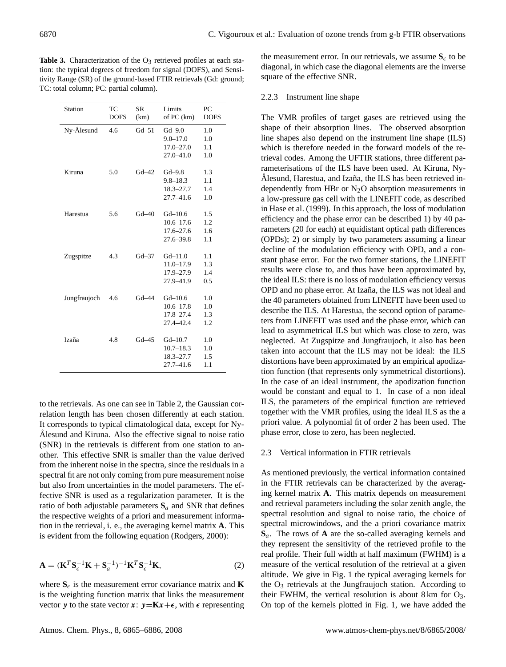**Table 3.** Characterization of the  $O_3$  retrieved profiles at each station: the typical degrees of freedom for signal (DOFS), and Sensitivity Range (SR) of the ground-based FTIR retrievals (Gd: ground; TC: total column; PC: partial column).

|                                                 | of PC (km)<br><b>DOFS</b> |
|-------------------------------------------------|---------------------------|
| Ny-Ålesund<br>$Gd-51$<br>4.6<br>$Gd-9.0$        | 1.0                       |
| $9.0 - 17.0$                                    | 1.0                       |
| $17.0 - 27.0$                                   | $1.1\,$                   |
| $27.0 - 41.0$                                   | 1.0                       |
| Kiruna<br>5.0<br>$Gd-42$<br>$Gd-9.8$            | 1.3                       |
| $9.8 - 18.3$                                    | 1.1                       |
| $18.3 - 27.7$                                   | 1.4                       |
| $27.7 - 41.6$                                   | 1.0                       |
| Harestua<br>$Gd-40$<br>$Gd - 10.6$<br>5.6       | 1.5                       |
| $10.6 - 17.6$                                   | 1.2                       |
| $17.6 - 27.6$                                   | 1.6                       |
| $27.6 - 39.8$                                   | $1.1\,$                   |
| 4.3<br>$Gd-37$<br>$Gd - 11.0$<br>Zugspitze      | $1.1\,$                   |
| 11.0–17.9                                       | 1.3                       |
| 17.9-27.9                                       | 1.4                       |
| 27.9-41.9                                       | 0.5                       |
| $Gd - 10.6$<br>Jungfraujoch<br>$Gd - 44$<br>4.6 | 1.0                       |
| $10.6 - 17.8$                                   | 1.0                       |
| 17.8-27.4                                       | 1.3                       |
| 27.4-42.4                                       | 1.2                       |
| Izaña<br>4.8<br>$Gd - 45$<br>$Gd - 10.7$        | 1.0                       |
| $10.7 - 18.3$                                   | 1.0                       |
| $18.3 - 27.7$                                   | 1.5                       |
| $27.7 - 41.6$                                   | 1.1                       |

to the retrievals. As one can see in Table 2, the Gaussian correlation length has been chosen differently at each station. It corresponds to typical climatological data, except for Ny-Alesund and Kiruna. Also the effective signal to noise ratio (SNR) in the retrievals is different from one station to another. This effective SNR is smaller than the value derived from the inherent noise in the spectra, since the residuals in a spectral fit are not only coming from pure measurement noise but also from uncertainties in the model parameters. The effective SNR is used as a regularization parameter. It is the ratio of both adjustable parameters  $S_a$  and SNR that defines the respective weights of a priori and measurement information in the retrieval, i. e., the averaging kernel matrix **A**. This is evident from the following equation (Rodgers, 2000):

$$
\mathbf{A} = (\mathbf{K}^T \mathbf{S}_{\epsilon}^{-1} \mathbf{K} + \mathbf{S}_a^{-1})^{-1} \mathbf{K}^T \mathbf{S}_{\epsilon}^{-1} \mathbf{K},
$$
\n(2)

where  $S_{\epsilon}$  is the measurement error covariance matrix and **K** is the weighting function matrix that links the measurement vector y to the state vector  $x: y=Kx+\epsilon$ , with  $\epsilon$  representing the measurement error. In our retrievals, we assume  $S_{\epsilon}$  to be diagonal, in which case the diagonal elements are the inverse square of the effective SNR.

#### 2.2.3 Instrument line shape

The VMR profiles of target gases are retrieved using the shape of their absorption lines. The observed absorption line shapes also depend on the instrument line shape (ILS) which is therefore needed in the forward models of the retrieval codes. Among the UFTIR stations, three different parameterisations of the ILS have been used. At Kiruna, Ny-Ålesund, Harestua, and Izaña, the ILS has been retrieved independently from HBr or  $N_2O$  absorption measurements in a low-pressure gas cell with the LINEFIT code, as described in Hase et al. (1999). In this approach, the loss of modulation efficiency and the phase error can be described 1) by 40 parameters (20 for each) at equidistant optical path differences (OPDs); 2) or simply by two parameters assuming a linear decline of the modulation efficiency with OPD, and a constant phase error. For the two former stations, the LINEFIT results were close to, and thus have been approximated by, the ideal ILS: there is no loss of modulation efficiency versus OPD and no phase error. At Izaña, the ILS was not ideal and the 40 parameters obtained from LINEFIT have been used to describe the ILS. At Harestua, the second option of parameters from LINEFIT was used and the phase error, which can lead to asymmetrical ILS but which was close to zero, was neglected. At Zugspitze and Jungfraujoch, it also has been taken into account that the ILS may not be ideal: the ILS distortions have been approximated by an empirical apodization function (that represents only symmetrical distortions). In the case of an ideal instrument, the apodization function would be constant and equal to 1. In case of a non ideal ILS, the parameters of the empirical function are retrieved together with the VMR profiles, using the ideal ILS as the a priori value. A polynomial fit of order 2 has been used. The phase error, close to zero, has been neglected.

#### 2.3 Vertical information in FTIR retrievals

As mentioned previously, the vertical information contained in the FTIR retrievals can be characterized by the averaging kernel matrix **A**. This matrix depends on measurement and retrieval parameters including the solar zenith angle, the spectral resolution and signal to noise ratio, the choice of spectral microwindows, and the a priori covariance matrix **S**a. The rows of **A** are the so-called averaging kernels and they represent the sensitivity of the retrieved profile to the real profile. Their full width at half maximum (FWHM) is a measure of the vertical resolution of the retrieval at a given altitude. We give in Fig. 1 the typical averaging kernels for the  $O_3$  retrievals at the Jungfraujoch station. According to their FWHM, the vertical resolution is about  $8 \text{ km}$  for  $\text{O}_3$ . On top of the kernels plotted in Fig. 1, we have added the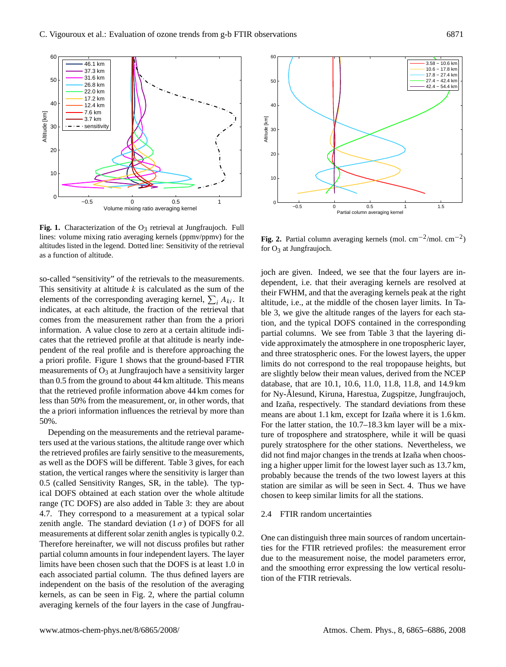

Fig. 1. Characterization of the O<sub>3</sub> retrieval at Jungfraujoch. Full lines: volume mixing ratio averaging kernels (ppmv/ppmv) for the altitudes listed in the legend. Dotted line: Sensitivity of the retrieval as a function of altitude.

so-called "sensitivity" of the retrievals to the measurements. This sensitivity at altitude  $k$  is calculated as the sum of the elements of the corresponding averaging kernel,  $\sum_i A_{ki}$ . It indicates, at each altitude, the fraction of the retrieval that comes from the measurement rather than from the a priori information. A value close to zero at a certain altitude indicates that the retrieved profile at that altitude is nearly independent of the real profile and is therefore approaching the a priori profile. Figure 1 shows that the ground-based FTIR measurements of  $O_3$  at Jungfraujoch have a sensitivity larger than 0.5 from the ground to about 44 km altitude. This means that the retrieved profile information above 44 km comes for less than 50% from the measurement, or, in other words, that the a priori information influences the retrieval by more than 50%.

Depending on the measurements and the retrieval parameters used at the various stations, the altitude range over which the retrieved profiles are fairly sensitive to the measurements, as well as the DOFS will be different. Table 3 gives, for each station, the vertical ranges where the sensitivity is larger than 0.5 (called Sensitivity Ranges, SR, in the table). The typical DOFS obtained at each station over the whole altitude range (TC DOFS) are also added in Table 3: they are about 4.7. They correspond to a measurement at a typical solar zenith angle. The standard deviation  $(1 \sigma)$  of DOFS for all measurements at different solar zenith angles is typically 0.2. Therefore hereinafter, we will not discuss profiles but rather partial column amounts in four independent layers. The layer limits have been chosen such that the DOFS is at least 1.0 in each associated partial column. The thus defined layers are independent on the basis of the resolution of the averaging kernels, as can be seen in Fig. 2, where the partial column averaging kernels of the four layers in the case of Jungfrau-



**Fig. 2.** Partial column averaging kernels (mol.  $cm^{-2}/mol$ .  $cm^{-2}$ ) for  $O_3$  at Jungfraujoch.

joch are given. Indeed, we see that the four layers are independent, i.e. that their averaging kernels are resolved at their FWHM, and that the averaging kernels peak at the right altitude, i.e., at the middle of the chosen layer limits. In Table 3, we give the altitude ranges of the layers for each station, and the typical DOFS contained in the corresponding partial columns. We see from Table 3 that the layering divide approximately the atmosphere in one tropospheric layer, and three stratospheric ones. For the lowest layers, the upper limits do not correspond to the real tropopause heights, but are slightly below their mean values, derived from the NCEP database, that are 10.1, 10.6, 11.0, 11.8, 11.8, and 14.9 km for Ny-Ålesund, Kiruna, Harestua, Zugspitze, Jungfraujoch, and Izaña, respectively. The standard deviations from these means are about 1.1 km, except for Izaña where it is 1.6 km. For the latter station, the 10.7–18.3 km layer will be a mixture of troposphere and stratosphere, while it will be quasi purely stratosphere for the other stations. Nevertheless, we did not find major changes in the trends at Izaña when choosing a higher upper limit for the lowest layer such as 13.7 km, probably because the trends of the two lowest layers at this station are similar as will be seen in Sect. 4. Thus we have chosen to keep similar limits for all the stations.

#### 2.4 FTIR random uncertainties

One can distinguish three main sources of random uncertainties for the FTIR retrieved profiles: the measurement error due to the measurement noise, the model parameters error, and the smoothing error expressing the low vertical resolution of the FTIR retrievals.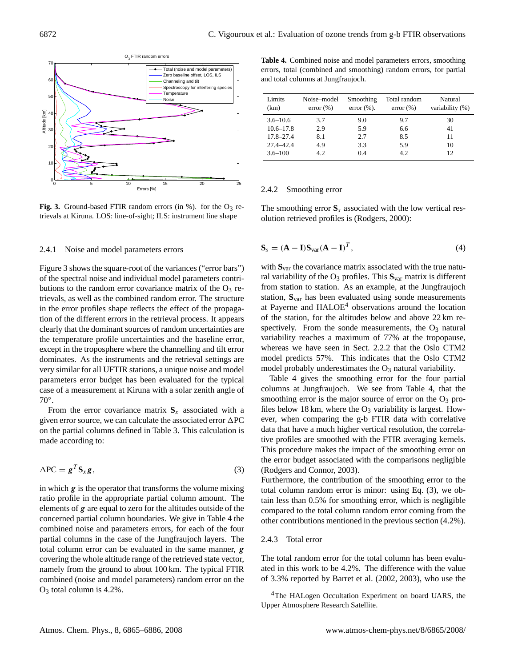

**Fig. 3.** Ground-based FTIR random errors (in %). for the  $O_3$  retrievals at Kiruna. LOS: line-of-sight; ILS: instrument line shape

### 2.4.1 Noise and model parameters errors

Figure 3 shows the square-root of the variances ("error bars") of the spectral noise and individual model parameters contributions to the random error covariance matrix of the  $O_3$  retrievals, as well as the combined random error. The structure in the error profiles shape reflects the effect of the propagation of the different errors in the retrieval process. It appears clearly that the dominant sources of random uncertainties are the temperature profile uncertainties and the baseline error, except in the troposphere where the channelling and tilt error dominates. As the instruments and the retrieval settings are very similar for all UFTIR stations, a unique noise and model parameters error budget has been evaluated for the typical case of a measurement at Kiruna with a solar zenith angle of 70◦ .

From the error covariance matrix  $S_x$  associated with a given error source, we can calculate the associated error  $\Delta PC$ on the partial columns defined in Table 3. This calculation is made according to:

$$
\Delta PC = g^T S_x g, \qquad (3)
$$

in which  $g$  is the operator that transforms the volume mixing ratio profile in the appropriate partial column amount. The elements of  $g$  are equal to zero for the altitudes outside of the concerned partial column boundaries. We give in Table 4 the combined noise and parameters errors, for each of the four partial columns in the case of the Jungfraujoch layers. The total column error can be evaluated in the same manner, g covering the whole altitude range of the retrieved state vector, namely from the ground to about 100 km. The typical FTIR combined (noise and model parameters) random error on the  $O<sub>3</sub>$  total column is 4.2%.

**Table 4.** Combined noise and model parameters errors, smoothing errors, total (combined and smoothing) random errors, for partial and total columns at Jungfraujoch.

| Limits<br>(km) | Noise-model<br>$error (\% )$ | Smoothing<br>error $(\%).$ | Total random<br>$error (\% )$ | Natural<br>variability (%) |
|----------------|------------------------------|----------------------------|-------------------------------|----------------------------|
| $3.6 - 10.6$   | 37                           | 9.0                        | 9.7                           | 30                         |
| $10.6 - 17.8$  | 2.9                          | 5.9                        | 6.6                           | 41                         |
| $17.8 - 27.4$  | 8.1                          | 2.7                        | 8.5                           | 11                         |
| $27.4 - 42.4$  | 4.9                          | 3.3                        | 5.9                           | 10                         |
| $3.6 - 100$    | 4.2                          | 04                         | 42                            | 12                         |

#### 2.4.2 Smoothing error

The smoothing error  $S_s$  associated with the low vertical resolution retrieved profiles is (Rodgers, 2000):

$$
\mathbf{S}_s = (\mathbf{A} - \mathbf{I})\mathbf{S}_{var}(\mathbf{A} - \mathbf{I})^T, \tag{4}
$$

with **S**var the covariance matrix associated with the true natural variability of the  $O_3$  profiles. This  $S_{var}$  matrix is different from station to station. As an example, at the Jungfraujoch station, **S**var has been evaluated using sonde measurements at Payerne and  $HALOE<sup>4</sup>$  observations around the location of the station, for the altitudes below and above 22 km respectively. From the sonde measurements, the  $O_3$  natural variability reaches a maximum of 77% at the tropopause, whereas we have seen in Sect. 2.2.2 that the Oslo CTM2 model predicts 57%. This indicates that the Oslo CTM2 model probably underestimates the  $O_3$  natural variability.

Table 4 gives the smoothing error for the four partial columns at Jungfraujoch. We see from Table 4, that the smoothing error is the major source of error on the  $O_3$  profiles below 18 km, where the  $O_3$  variability is largest. However, when comparing the g-b FTIR data with correlative data that have a much higher vertical resolution, the correlative profiles are smoothed with the FTIR averaging kernels. This procedure makes the impact of the smoothing error on the error budget associated with the comparisons negligible (Rodgers and Connor, 2003).

Furthermore, the contribution of the smoothing error to the total column random error is minor: using Eq. (3), we obtain less than 0.5% for smoothing error, which is negligible compared to the total column random error coming from the other contributions mentioned in the previous section (4.2%).

#### 2.4.3 Total error

The total random error for the total column has been evaluated in this work to be 4.2%. The difference with the value of 3.3% reported by Barret et al. (2002, 2003), who use the

<sup>&</sup>lt;sup>4</sup>The HALogen Occultation Experiment on board UARS, the Upper Atmosphere Research Satellite.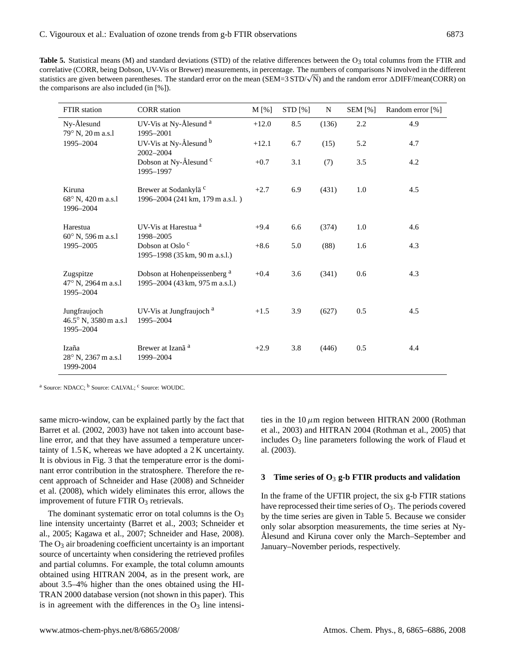**Table 5.** Statistical means (M) and standard deviations (STD) of the relative differences between the  $O<sub>3</sub>$  total columns from the FTIR and correlative (CORR, being Dobson, UV-Vis or Brewer) measurements, in percentage. The numbers of comparisons N involved in the different correlative (CORR, being Dobson, UV-vis or Brewer) measurements, in percentage. The numbers of comparisons in involved in the different statistics are given between parentheses. The standard error on the mean (SEM=3 STD/the comparisons are also included (in [%]).

| <b>FTIR</b> station                                   | <b>CORR</b> station                                                        | M [%]   | STD [%] | $\mathbf N$ | <b>SEM</b> [%] | Random error [%] |
|-------------------------------------------------------|----------------------------------------------------------------------------|---------|---------|-------------|----------------|------------------|
| Ny-Ålesund<br>79° N, 20 m a.s.l                       | UV-Vis at Ny-Ålesund <sup>a</sup><br>1995-2001                             | $+12.0$ | 8.5     | (136)       | 2.2            | 4.9              |
| 1995-2004                                             | UV-Vis at Ny-Ålesund b<br>2002-2004                                        | $+12.1$ | 6.7     | (15)        | 5.2            | 4.7              |
|                                                       | Dobson at Ny-Ålesund <sup>c</sup><br>1995-1997                             | $+0.7$  | 3.1     | (7)         | 3.5            | 4.2              |
| Kiruna<br>$68^{\circ}$ N, 420 m a.s.<br>1996-2004     | Brewer at Sodankylä <sup>c</sup><br>1996–2004 (241 km, 179 m a.s.l.)       | $+2.7$  | 6.9     | (431)       | 1.0            | 4.5              |
| Harestua<br>$60^{\circ}$ N, 596 m a.s.l               | UV-Vis at Harestua <sup>a</sup><br>1998-2005                               | $+9.4$  | 6.6     | (374)       | 1.0            | 4.6              |
| 1995-2005                                             | Dobson at Oslo <sup>c</sup><br>1995-1998 (35 km, 90 m a.s.l.)              | $+8.6$  | 5.0     | (88)        | 1.6            | 4.3              |
| Zugspitze<br>$47^{\circ}$ N, 2964 m a.s.<br>1995-2004 | Dobson at Hohenpeissenberg <sup>a</sup><br>1995-2004 (43 km, 975 m a.s.l.) | $+0.4$  | 3.6     | (341)       | 0.6            | 4.3              |
| Jungfraujoch<br>46.5° N, 3580 m a.s.1<br>1995-2004    | UV-Vis at Jungfraujoch <sup>a</sup><br>1995-2004                           | $+1.5$  | 3.9     | (627)       | 0.5            | 4.5              |
| Izaña<br>$28^{\circ}$ N, 2367 m a.s.<br>1999-2004     | Brewer at Izanã <sup>a</sup><br>1999-2004                                  | $+2.9$  | 3.8     | (446)       | 0.5            | 4.4              |

<sup>a</sup> Source: NDACC; <sup>b</sup> Source: CALVAL; <sup>c</sup> Source: WOUDC.

same micro-window, can be explained partly by the fact that Barret et al. (2002, 2003) have not taken into account baseline error, and that they have assumed a temperature uncertainty of 1.5 K, whereas we have adopted a 2 K uncertainty. It is obvious in Fig. 3 that the temperature error is the dominant error contribution in the stratosphere. Therefore the recent approach of Schneider and Hase (2008) and Schneider et al. (2008), which widely eliminates this error, allows the improvement of future FTIR  $O_3$  retrievals.

The dominant systematic error on total columns is the  $O_3$ line intensity uncertainty (Barret et al., 2003; Schneider et al., 2005; Kagawa et al., 2007; Schneider and Hase, 2008). The  $O_3$  air broadening coefficient uncertainty is an important source of uncertainty when considering the retrieved profiles and partial columns. For example, the total column amounts obtained using HITRAN 2004, as in the present work, are about 3.5–4% higher than the ones obtained using the HI-TRAN 2000 database version (not shown in this paper). This is in agreement with the differences in the  $O_3$  line intensities in the  $10 \mu$ m region between HITRAN 2000 (Rothman et al., 2003) and HITRAN 2004 (Rothman et al., 2005) that includes  $O_3$  line parameters following the work of Flaud et al. (2003).

## **3 Time series of O**<sup>3</sup> **g-b FTIR products and validation**

In the frame of the UFTIR project, the six g-b FTIR stations have reprocessed their time series of  $O_3$ . The periods covered by the time series are given in Table 5. Because we consider only solar absorption measurements, the time series at Ny-Alesund and Kiruna cover only the March–September and January–November periods, respectively.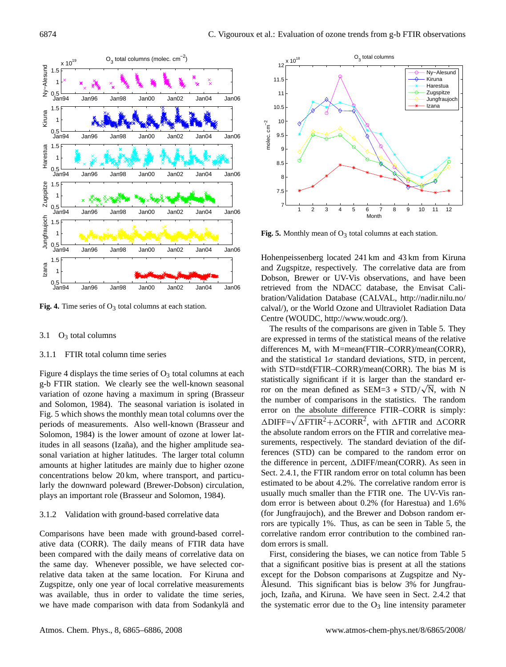

**Fig. 4.** Time series of  $O_3$  total columns at each station.

## 3.1  $O_3$  total columns

## 3.1.1 FTIR total column time series

Figure 4 displays the time series of  $O_3$  total columns at each g-b FTIR station. We clearly see the well-known seasonal variation of ozone having a maximum in spring (Brasseur and Solomon, 1984). The seasonal variation is isolated in Fig. 5 which shows the monthly mean total columns over the periods of measurements. Also well-known (Brasseur and Solomon, 1984) is the lower amount of ozone at lower latitudes in all seasons (Izaña), and the higher amplitude seasonal variation at higher latitudes. The larger total column amounts at higher latitudes are mainly due to higher ozone concentrations below 20 km, where transport, and particularly the downward poleward (Brewer-Dobson) circulation, plays an important role (Brasseur and Solomon, 1984).

## 3.1.2 Validation with ground-based correlative data

Comparisons have been made with ground-based correlative data (CORR). The daily means of FTIR data have been compared with the daily means of correlative data on the same day. Whenever possible, we have selected correlative data taken at the same location. For Kiruna and Zugspitze, only one year of local correlative measurements was available, thus in order to validate the time series, we have made comparison with data from Sodankylä and



**Fig. 5.** Monthly mean of  $O_3$  total columns at each station.

Hohenpeissenberg located 241 km and 43 km from Kiruna and Zugspitze, respectively. The correlative data are from Dobson, Brewer or UV-Vis observations, and have been retrieved from the NDACC database, the Envisat Calibration/Validation Database (CALVAL, http://nadir.nilu.no/ calval/), or the World Ozone and Ultraviolet Radiation Data Centre (WOUDC, http://www.woudc.org/).

The results of the comparisons are given in Table 5. They are expressed in terms of the statistical means of the relative differences M, with M=mean(FTIR–CORR)/mean(CORR), and the statistical  $1\sigma$  standard deviations, STD, in percent, with STD=std(FTIR–CORR)/mean(CORR). The bias M is statistically significant if it is larger than the standard error on the mean defined as  $SEM=3 * STD/\sqrt{N}$ , with N the number of comparisons in the statistics. The random error on the absolute difference FTIR–CORR is simply:  $\triangle$ DIFF= $\sqrt{\triangle$ FTIR<sup>2</sup>+ $\triangle$ CORR<sup>2</sup>, with  $\triangle$ FTIR and  $\triangle$ CORR the absolute random errors on the FTIR and correlative measurements, respectively. The standard deviation of the differences (STD) can be compared to the random error on the difference in percent,  $\triangle$ DIFF/mean(CORR). As seen in Sect. 2.4.1, the FTIR random error on total column has been estimated to be about 4.2%. The correlative random error is usually much smaller than the FTIR one. The UV-Vis random error is between about 0.2% (for Harestua) and 1.6% (for Jungfraujoch), and the Brewer and Dobson random errors are typically 1%. Thus, as can be seen in Table 5, the correlative random error contribution to the combined random errors is small.

First, considering the biases, we can notice from Table 5 that a significant positive bias is present at all the stations except for the Dobson comparisons at Zugspitze and Ny-Ålesund. This significant bias is below  $3\%$  for Jungfraujoch, Izaña, and Kiruna. We have seen in Sect. 2.4.2 that the systematic error due to the  $O_3$  line intensity parameter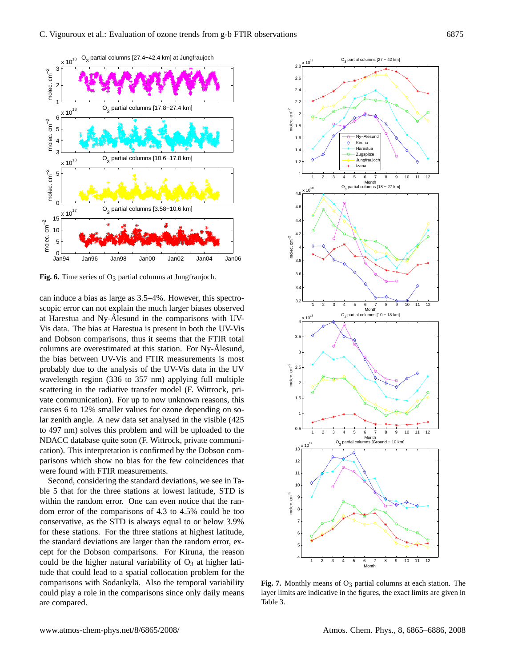

**Fig. 6.** Time series of O<sub>3</sub> partial columns at Jungfraujoch.

can induce a bias as large as 3.5–4%. However, this spectroscopic error can not explain the much larger biases observed at Harestua and Ny-Ålesund in the comparisons with UV-Vis data. The bias at Harestua is present in both the UV-Vis and Dobson comparisons, thus it seems that the FTIR total columns are overestimated at this station. For Ny-Ålesund, the bias between UV-Vis and FTIR measurements is most probably due to the analysis of the UV-Vis data in the UV wavelength region (336 to 357 nm) applying full multiple scattering in the radiative transfer model (F. Wittrock, private communication). For up to now unknown reasons, this causes 6 to 12% smaller values for ozone depending on solar zenith angle. A new data set analysed in the visible (425 to 497 nm) solves this problem and will be uploaded to the NDACC database quite soon (F. Wittrock, private communication). This interpretation is confirmed by the Dobson comparisons which show no bias for the few coincidences that were found with FTIR measurements.

Second, considering the standard deviations, we see in Table 5 that for the three stations at lowest latitude, STD is within the random error. One can even notice that the random error of the comparisons of 4.3 to 4.5% could be too conservative, as the STD is always equal to or below 3.9% for these stations. For the three stations at highest latitude, the standard deviations are larger than the random error, except for the Dobson comparisons. For Kiruna, the reason could be the higher natural variability of  $O_3$  at higher latitude that could lead to a spatial collocation problem for the comparisons with Sodankylä. Also the temporal variability could play a role in the comparisons since only daily means are compared.



Fig. 7. Monthly means of O<sub>3</sub> partial columns at each station. The layer limits are indicative in the figures, the exact limits are given in Table 3.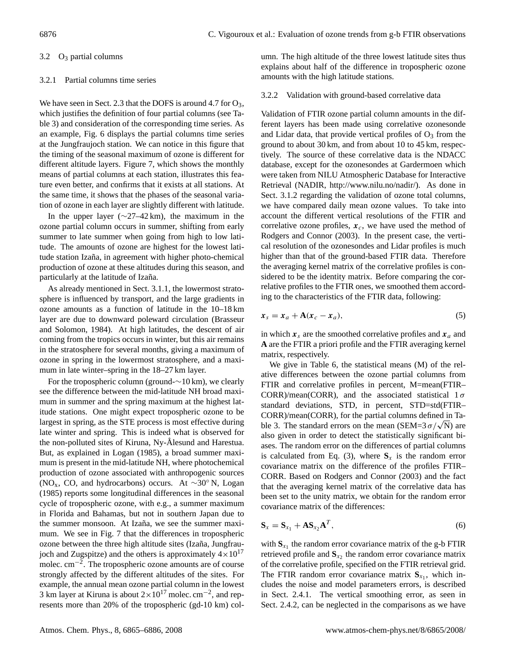## 3.2 O<sup>3</sup> partial columns

#### 3.2.1 Partial columns time series

We have seen in Sect. 2.3 that the DOFS is around 4.7 for  $O_3$ , which justifies the definition of four partial columns (see Table 3) and consideration of the corresponding time series. As an example, Fig. 6 displays the partial columns time series at the Jungfraujoch station. We can notice in this figure that the timing of the seasonal maximum of ozone is different for different altitude layers. Figure 7, which shows the monthly means of partial columns at each station, illustrates this feature even better, and confirms that it exists at all stations. At the same time, it shows that the phases of the seasonal variation of ozone in each layer are slightly different with latitude.

In the upper layer ( $\sim$ 27–42 km), the maximum in the ozone partial column occurs in summer, shifting from early summer to late summer when going from high to low latitude. The amounts of ozone are highest for the lowest latitude station Izaña, in agreement with higher photo-chemical production of ozone at these altitudes during this season, and particularly at the latitude of Izaña.

As already mentioned in Sect. 3.1.1, the lowermost stratosphere is influenced by transport, and the large gradients in ozone amounts as a function of latitude in the 10–18 km layer are due to downward poleward circulation (Brasseur and Solomon, 1984). At high latitudes, the descent of air coming from the tropics occurs in winter, but this air remains in the stratosphere for several months, giving a maximum of ozone in spring in the lowermost stratosphere, and a maximum in late winter–spring in the 18–27 km layer.

For the tropospheric column (ground-∼10 km), we clearly see the difference between the mid-latitude NH broad maximum in summer and the spring maximum at the highest latitude stations. One might expect tropospheric ozone to be largest in spring, as the STE process is most effective during late winter and spring. This is indeed what is observed for the non-polluted sites of Kiruna, Ny-Ålesund and Harestua. But, as explained in Logan (1985), a broad summer maximum is present in the mid-latitude NH, where photochemical production of ozone associated with anthropogenic sources (NOx, CO, and hydrocarbons) occurs. At ∼30◦ N, Logan (1985) reports some longitudinal differences in the seasonal cycle of tropospheric ozone, with e.g., a summer maximum in Florida and Bahamas, but not in southern Japan due to the summer monsoon. At Izaña, we see the summer maximum. We see in Fig. 7 that the differences in tropospheric ozone between the three high altitude sites (Izaña, Jungfraujoch and Zugspitze) and the others is approximately  $4 \times 10^{17}$ molec.  $\text{cm}^{-2}$ . The tropospheric ozone amounts are of course strongly affected by the different altitudes of the sites. For example, the annual mean ozone partial column in the lowest 3 km layer at Kiruna is about  $2 \times 10^{17}$  molec. cm<sup>-2</sup>, and represents more than 20% of the tropospheric (gd-10 km) column. The high altitude of the three lowest latitude sites thus explains about half of the difference in tropospheric ozone amounts with the high latitude stations.

## 3.2.2 Validation with ground-based correlative data

Validation of FTIR ozone partial column amounts in the different layers has been made using correlative ozonesonde and Lidar data, that provide vertical profiles of  $O_3$  from the ground to about 30 km, and from about 10 to 45 km, respectively. The source of these correlative data is the NDACC database, except for the ozonesondes at Gardermoen which were taken from NILU Atmospheric Database for Interactive Retrieval (NADIR, http://www.nilu.no/nadir/). As done in Sect. 3.1.2 regarding the validation of ozone total columns, we have compared daily mean ozone values. To take into account the different vertical resolutions of the FTIR and correlative ozone profiles,  $x_c$ , we have used the method of Rodgers and Connor (2003). In the present case, the vertical resolution of the ozonesondes and Lidar profiles is much higher than that of the ground-based FTIR data. Therefore the averaging kernel matrix of the correlative profiles is considered to be the identity matrix. Before comparing the correlative profiles to the FTIR ones, we smoothed them according to the characteristics of the FTIR data, following:

$$
x_s = x_a + A(x_c - x_a), \tag{5}
$$

in which  $x_s$  are the smoothed correlative profiles and  $x_a$  and **A** are the FTIR a priori profile and the FTIR averaging kernel matrix, respectively.

We give in Table 6, the statistical means (M) of the relative differences between the ozone partial columns from FTIR and correlative profiles in percent, M=mean(FTIR– CORR)/mean(CORR), and the associated statistical  $1\sigma$ standard deviations, STD, in percent, STD=std(FTIR– CORR)/mean(CORR), for the partial columns defined in Ta-CORR)/mean(CORR), for the partial columns defined in Table 3. The standard errors on the mean (SEM=3  $\sigma/\sqrt{N}$ ) are also given in order to detect the statistically significant biases. The random error on the differences of partial columns is calculated from Eq. (3), where  $S_x$  is the random error covariance matrix on the difference of the profiles FTIR– CORR. Based on Rodgers and Connor (2003) and the fact that the averaging kernel matrix of the correlative data has been set to the unity matrix, we obtain for the random error covariance matrix of the differences:

$$
\mathbf{S}_x = \mathbf{S}_{x_1} + \mathbf{A}\mathbf{S}_{x_2}\mathbf{A}^T, \tag{6}
$$

with  $S_{x_1}$  the random error covariance matrix of the g-b FTIR retrieved profile and  $S_{x_2}$  the random error covariance matrix of the correlative profile, specified on the FTIR retrieval grid. The FTIR random error covariance matrix  $S_{x_1}$ , which includes the noise and model parameters errors, is described in Sect. 2.4.1. The vertical smoothing error, as seen in Sect. 2.4.2, can be neglected in the comparisons as we have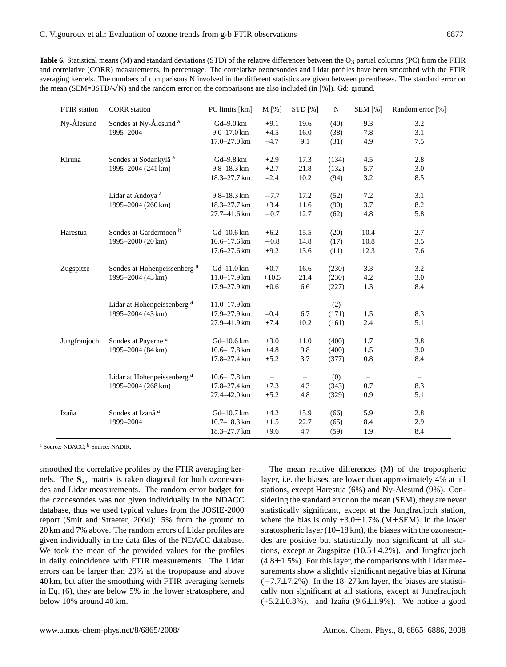Table 6. Statistical means (M) and standard deviations (STD) of the relative differences between the O<sub>3</sub> partial columns (PC) from the FTIR and correlative (CORR) measurements, in percentage. The correlative ozonesondes and Lidar profiles have been smoothed with the FTIR averaging kernels. The numbers of comparisons N involved in the different statistics are given between parentheses. The standard error on averaging kerneis. The numbers of comparisons N involved in the different statistics are given between parer<br>the mean (SEM=3STD/√N) and the random error on the comparisons are also included (in [%]). Gd: ground.

| FTIR station | <b>CORR</b> station                     | PC limits [km]        | M [%]                    | STD [%]                  | ${\bf N}$ | <b>SEM</b> [%]    | Random error [%]         |
|--------------|-----------------------------------------|-----------------------|--------------------------|--------------------------|-----------|-------------------|--------------------------|
| Ny-Ålesund   | Sondes at Ny-Ålesund <sup>a</sup>       | Gd-9.0 km             | $+9.1$                   | 19.6                     | (40)      | 9.3               | 3.2                      |
|              | 1995-2004                               | $9.0 - 17.0$ km       | $+4.5$                   | 16.0                     | (38)      | 7.8               | 3.1                      |
|              |                                         | 17.0-27.0 km          | $-4.7$                   | 9.1                      | (31)      | 4.9               | 7.5                      |
| Kiruna       | Sondes at Sodankylä <sup>a</sup>        | Gd-9.8 km             | $+2.9$                   | 17.3                     | (134)     | 4.5               | 2.8                      |
|              | 1995-2004 (241 km)                      | $9.8 - 18.3$ km       | $+2.7$                   | 21.8                     | (132)     | 5.7               | 3.0                      |
|              |                                         | 18.3-27.7 km          | $-2.4$                   | 10.2                     | (94)      | 3.2               | 8.5                      |
|              |                                         |                       |                          |                          |           |                   |                          |
|              | Lidar at Andoya <sup>a</sup>            | 9.8-18.3 km           | $-7.7$                   | 17.2                     | (52)      | 7.2               | 3.1                      |
|              | 1995-2004 (260 km)                      | 18.3-27.7 km          | $+3.4$                   | 11.6                     | (90)      | 3.7               | 8.2                      |
|              |                                         | 27.7-41.6 km          | $-0.7$                   | 12.7                     | (62)      | $4.8\,$           | 5.8                      |
| Harestua     | Sondes at Gardermoen <sup>b</sup>       | Gd-10.6 km            | $+6.2$                   | 15.5                     | (20)      | 10.4              | 2.7                      |
|              | 1995-2000 (20 km)                       | $10.6 - 17.6$ km      | $-0.8$                   | 14.8                     | (17)      | 10.8              | 3.5                      |
|              |                                         | $17.6 - 27.6$ km      | $+9.2$                   | 13.6                     | (11)      | 12.3              | 7.6                      |
| Zugspitze    | Sondes at Hohenpeissenberg <sup>a</sup> | $Gd-11.0 \mathrm{km}$ | $+0.7$                   | 16.6                     | (230)     | 3.3               | 3.2                      |
|              | 1995-2004 (43 km)                       | $11.0 - 17.9$ km      | $+10.5$                  | 21.4                     | (230)     | $4.2\,$           | 3.0                      |
|              |                                         | 17.9-27.9 km          | $+0.6$                   | 6.6                      | (227)     | 1.3               | 8.4                      |
|              |                                         |                       |                          |                          |           |                   |                          |
|              | Lidar at Hohenpeissenberg <sup>a</sup>  | $11.0 - 17.9$ km      |                          | $\overline{\phantom{m}}$ | (2)       | $\qquad \qquad -$ | $\overline{\phantom{a}}$ |
|              | 1995-2004 (43 km)                       | 17.9-27.9 km          | $-0.4$                   | 6.7                      | (171)     | $1.5\,$           | 8.3                      |
|              |                                         | 27.9-41.9 km          | $+7.4$                   | 10.2                     | (161)     | 2.4               | 5.1                      |
| Jungfraujoch | Sondes at Payerne <sup>a</sup>          | $Gd - 10.6 km$        | $+3.0$                   | 11.0                     | (400)     | 1.7               | 3.8                      |
|              | 1995-2004 (84 km)                       | $10.6 - 17.8$ km      | $+4.8$                   | $9.8\,$                  | (400)     | $1.5\,$           | 3.0                      |
|              |                                         | 17.8-27.4 km          | $+5.2$                   | 3.7                      | (377)     | 0.8               | 8.4                      |
|              | Lidar at Hohenpeissenberg <sup>a</sup>  | $10.6 - 17.8$ km      | $\overline{\phantom{0}}$ | $\qquad \qquad -$        | (0)       | $\qquad \qquad -$ | $\overline{\phantom{0}}$ |
|              | 1995-2004 (268 km)                      | 17.8-27.4 km          | $+7.3$                   | 4.3                      | (343)     | 0.7               | 8.3                      |
|              |                                         | 27.4-42.0 km          | $+5.2$                   | 4.8                      | (329)     | 0.9               | 5.1                      |
| Izaña        | Sondes at Izanã <sup>a</sup>            | Gd-10.7 km            | $+4.2$                   | 15.9                     | (66)      | 5.9               | 2.8                      |
|              | 1999-2004                               | $10.7 - 18.3$ km      | $+1.5$                   | 22.7                     | (65)      | 8.4               | 2.9                      |
|              |                                         | 18.3-27.7 km          | $+9.6$                   | 4.7                      | (59)      | 1.9               | 8.4                      |
|              |                                         |                       |                          |                          |           |                   |                          |

<sup>a</sup> Source: NDACC; <sup>b</sup> Source: NADIR.

smoothed the correlative profiles by the FTIR averaging kernels. The  $S_{x<sub>2</sub>}$  matrix is taken diagonal for both ozonesondes and Lidar measurements. The random error budget for the ozonesondes was not given individually in the NDACC database, thus we used typical values from the JOSIE-2000 report (Smit and Straeter, 2004): 5% from the ground to 20 km and 7% above. The random errors of Lidar profiles are given individually in the data files of the NDACC database. We took the mean of the provided values for the profiles in daily coincidence with FTIR measurements. The Lidar errors can be larger than 20% at the tropopause and above 40 km, but after the smoothing with FTIR averaging kernels in Eq. (6), they are below 5% in the lower stratosphere, and below 10% around 40 km.

The mean relative differences (M) of the tropospheric layer, i.e. the biases, are lower than approximately 4% at all stations, except Harestua  $(6%)$  and Ny-Ålesund  $(9%)$ . Considering the standard error on the mean (SEM), they are never statistically significant, except at the Jungfraujoch station, where the bias is only  $+3.0\pm1.7\%$  (M $\pm$ SEM). In the lower stratospheric layer (10–18 km), the biases with the ozonesondes are positive but statistically non significant at all stations, except at Zugspitze  $(10.5 \pm 4.2\%)$ . and Jungfraujoch  $(4.8 \pm 1.5\%)$ . For this layer, the comparisons with Lidar measurements show a slightly significant negative bias at Kiruna  $(-7.7 \pm 7.2\%)$ . In the 18–27 km layer, the biases are statistically non significant at all stations, except at Jungfraujoch  $(+5.2 \pm 0.8\%)$ . and Izaña (9.6 $\pm 1.9\%$ ). We notice a good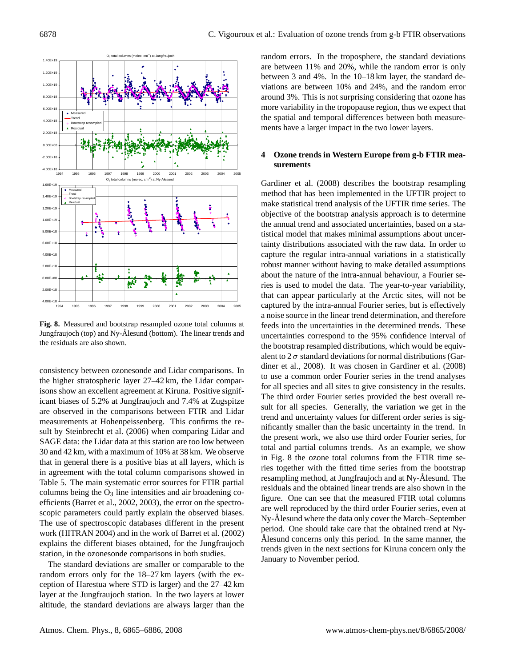

**Fig. 8.** Measured and bootstrap resampled ozone total columns at Jungfraujoch (top) and Ny-Ålesund (bottom). The linear trends and the residuals are also shown.

consistency between ozonesonde and Lidar comparisons. In the higher stratospheric layer 27–42 km, the Lidar comparisons show an excellent agreement at Kiruna. Positive significant biases of 5.2% at Jungfraujoch and 7.4% at Zugspitze are observed in the comparisons between FTIR and Lidar measurements at Hohenpeissenberg. This confirms the result by Steinbrecht et al. (2006) when comparing Lidar and SAGE data: the Lidar data at this station are too low between 30 and 42 km, with a maximum of 10% at 38 km. We observe that in general there is a positive bias at all layers, which is in agreement with the total column comparisons showed in Table 5. The main systematic error sources for FTIR partial columns being the  $O_3$  line intensities and air broadening coefficients (Barret et al., 2002, 2003), the error on the spectroscopic parameters could partly explain the observed biases. The use of spectroscopic databases different in the present work (HITRAN 2004) and in the work of Barret et al. (2002) explains the different biases obtained, for the Jungfraujoch station, in the ozonesonde comparisons in both studies.

The standard deviations are smaller or comparable to the random errors only for the 18–27 km layers (with the exception of Harestua where STD is larger) and the 27–42 km layer at the Jungfraujoch station. In the two layers at lower altitude, the standard deviations are always larger than the random errors. In the troposphere, the standard deviations are between 11% and 20%, while the random error is only between 3 and 4%. In the 10–18 km layer, the standard deviations are between 10% and 24%, and the random error around 3%. This is not surprising considering that ozone has more variability in the tropopause region, thus we expect that the spatial and temporal differences between both measurements have a larger impact in the two lower layers.

## **4 Ozone trends in Western Europe from g-b FTIR measurements**

Gardiner et al. (2008) describes the bootstrap resampling method that has been implemented in the UFTIR project to make statistical trend analysis of the UFTIR time series. The objective of the bootstrap analysis approach is to determine the annual trend and associated uncertainties, based on a statistical model that makes minimal assumptions about uncertainty distributions associated with the raw data. In order to capture the regular intra-annual variations in a statistically robust manner without having to make detailed assumptions about the nature of the intra-annual behaviour, a Fourier series is used to model the data. The year-to-year variability, that can appear particularly at the Arctic sites, will not be captured by the intra-annual Fourier series, but is effectively a noise source in the linear trend determination, and therefore feeds into the uncertainties in the determined trends. These uncertainties correspond to the 95% confidence interval of the bootstrap resampled distributions, which would be equivalent to  $2\sigma$  standard deviations for normal distributions (Gardiner et al., 2008). It was chosen in Gardiner et al. (2008) to use a common order Fourier series in the trend analyses for all species and all sites to give consistency in the results. The third order Fourier series provided the best overall result for all species. Generally, the variation we get in the trend and uncertainty values for different order series is significantly smaller than the basic uncertainty in the trend. In the present work, we also use third order Fourier series, for total and partial columns trends. As an example, we show in Fig. 8 the ozone total columns from the FTIR time series together with the fitted time series from the bootstrap resampling method, at Jungfraujoch and at Ny-Ålesund. The residuals and the obtained linear trends are also shown in the figure. One can see that the measured FTIR total columns are well reproduced by the third order Fourier series, even at Ny-Ålesund where the data only cover the March–September period. One should take care that the obtained trend at Ny-Alesund concerns only this period. In the same manner, the trends given in the next sections for Kiruna concern only the January to November period.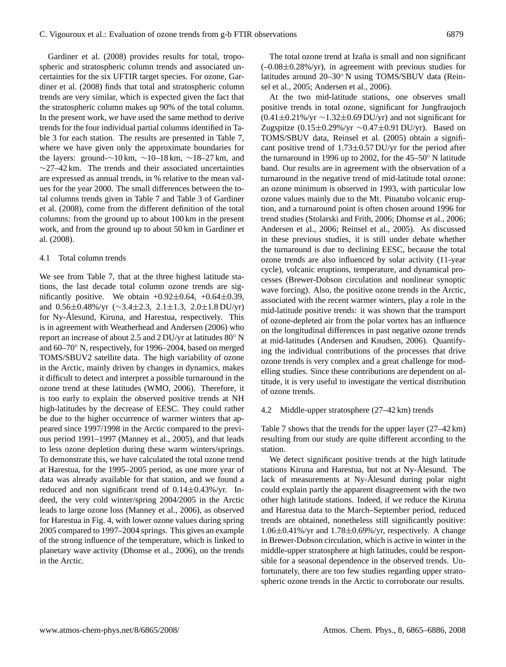Gardiner et al. (2008) provides results for total, tropospheric and stratospheric column trends and associated uncertainties for the six UFTIR target species. For ozone, Gardiner et al. (2008) finds that total and stratospheric column trends are very similar, which is expected given the fact that the stratospheric column makes up 90% of the total column. In the present work, we have used the same method to derive trends for the four individual partial columns identified in Table 3 for each station. The results are presented in Table 7, where we have given only the approximate boundaries for the layers: ground- $\sim$ 10 km,  $\sim$ 10–18 km,  $\sim$ 18–27 km, and ∼27–42 km. The trends and their associated uncertainties are expressed as annual trends, in % relative to the mean values for the year 2000. The small differences between the total columns trends given in Table 7 and Table 3 of Gardiner et al. (2008), come from the different definition of the total columns: from the ground up to about 100 km in the present work, and from the ground up to about 50 km in Gardiner et al. (2008).

## 4.1 Total column trends

We see from Table 7, that at the three highest latitude stations, the last decade total column ozone trends are significantly positive. We obtain  $+0.92\pm0.64$ ,  $+0.64\pm0.39$ , and 0.56±0.48%/yr (∼3.4±2.3, 2.1±1.3, 2.0±1.8 DU/yr) for Ny-Ålesund, Kiruna, and Harestua, respectively. This is in agreement with Weatherhead and Andersen (2006) who report an increase of about 2.5 and 2 DU/yr at latitudes 80◦ N and 60–70◦ N, respectively, for 1996–2004, based on merged TOMS/SBUV2 satellite data. The high variability of ozone in the Arctic, mainly driven by changes in dynamics, makes it difficult to detect and interpret a possible turnaround in the ozone trend at these latitudes (WMO, 2006). Therefore, it is too early to explain the observed positive trends at NH high-latitudes by the decrease of EESC. They could rather be due to the higher occurrence of warmer winters that appeared since 1997/1998 in the Arctic compared to the previous period 1991–1997 (Manney et al., 2005), and that leads to less ozone depletion during these warm winters/springs. To demonstrate this, we have calculated the total ozone trend at Harestua, for the 1995–2005 period, as one more year of data was already available for that station, and we found a reduced and non significant trend of  $0.14 \pm 0.43\%$ /yr. Indeed, the very cold winter/spring 2004/2005 in the Arctic leads to large ozone loss (Manney et al., 2006), as observed for Harestua in Fig. 4, with lower ozone values during spring 2005 compared to 1997–2004 springs. This gives an example of the strong influence of the temperature, which is linked to planetary wave activity (Dhomse et al., 2006), on the trends in the Arctic.

The total ozone trend at Izaña is small and non significant  $(-0.08\pm0.28\%/yr)$ , in agreement with previous studies for latitudes around 20–30◦ N using TOMS/SBUV data (Reinsel et al., 2005; Andersen et al., 2006).

At the two mid-latitude stations, one observes small positive trends in total ozone, significant for Jungfraujoch  $(0.41\pm0.21\%/yr \sim 1.32\pm0.69$  DU/yr) and not significant for Zugspitze (0.15±0.29%/yr ∼0.47±0.91 DU/yr). Based on TOMS/SBUV data, Reinsel et al. (2005) obtain a significant positive trend of  $1.73\pm0.57$  DU/yr for the period after the turnaround in 1996 up to 2002, for the 45–50◦ N latitude band. Our results are in agreement with the observation of a turnaround in the negative trend of mid-latitude total ozone: an ozone minimum is observed in 1993, with particular low ozone values mainly due to the Mt. Pinatubo volcanic eruption, and a turnaround point is often chosen around 1996 for trend studies (Stolarski and Frith, 2006; Dhomse et al., 2006; Andersen et al., 2006; Reinsel et al., 2005). As discussed in these previous studies, it is still under debate whether the turnaround is due to declining EESC, because the total ozone trends are also influenced by solar activity (11-year cycle), volcanic eruptions, temperature, and dynamical processes (Brewer-Dobson circulation and nonlinear synoptic wave forcing). Also, the positive ozone trends in the Arctic, associated with the recent warmer winters, play a role in the mid-latitude positive trends: it was shown that the transport of ozone-depleted air from the polar vortex has an influence on the longitudinal differences in past negative ozone trends at mid-latitudes (Andersen and Knudsen, 2006). Quantifying the individual contributions of the processes that drive ozone trends is very complex and a great challenge for modelling studies. Since these contributions are dependent on altitude, it is very useful to investigate the vertical distribution of ozone trends.

#### 4.2 Middle-upper stratosphere (27–42 km) trends

Table 7 shows that the trends for the upper layer (27–42 km) resulting from our study are quite different according to the station.

We detect significant positive trends at the high latitude stations Kiruna and Harestua, but not at Ny-Ålesund. The lack of measurements at Ny-Ålesund during polar night could explain partly the apparent disagreement with the two other high latitude stations. Indeed, if we reduce the Kiruna and Harestua data to the March–September period, reduced trends are obtained, nonetheless still significantly positive:  $1.06\pm0.41\%$ /yr and  $1.78\pm0.69\%$ /yr, respectively. A change in Brewer-Dobson circulation, which is active in winter in the middle-upper stratosphere at high latitudes, could be responsible for a seasonal dependence in the observed trends. Unfortunately, there are too few studies regarding upper stratospheric ozone trends in the Arctic to corroborate our results.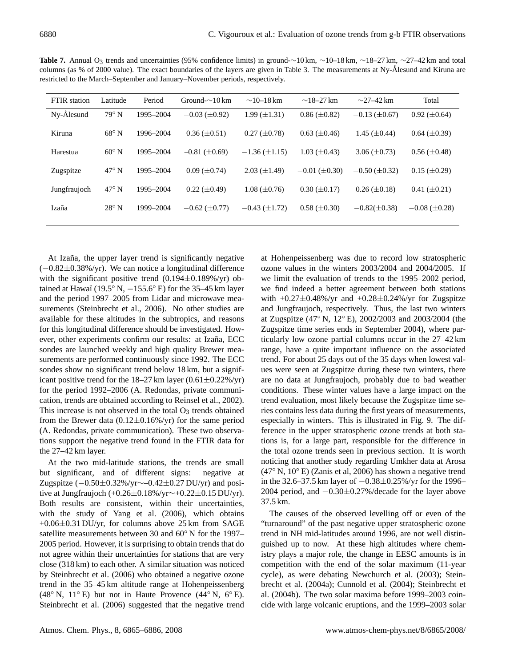| <b>FTIR</b> station | Latitude       | Period    | Ground- $\sim$ 10 km   | $\sim$ 10–18 km      | $\sim$ 18–27 km       | $\sim$ 27–42 km       | Total                 |
|---------------------|----------------|-----------|------------------------|----------------------|-----------------------|-----------------------|-----------------------|
| Ny-Ålesund          | $79^\circ$ N   | 1995-2004 | $-0.03$ ( $\pm$ 0.92)  | $1.99 \ (\pm 1.31)$  | $0.86 \ (\pm 0.82)$   | $-0.13 \ (\pm 0.67)$  | $0.92 \ (\pm 0.64)$   |
| Kiruna              | $68^{\circ}$ N | 1996-2004 | $0.36 \ (\pm 0.51)$    | $0.27 (\pm 0.78)$    | $0.63 \ (\pm 0.46)$   | 1.45 $(\pm 0.44)$     | $0.64 \ (\pm 0.39)$   |
| Harestua            | $60^{\circ}$ N | 1995-2004 | $-0.81$ ( $\pm 0.69$ ) | $-1.36 \ (\pm 1.15)$ | $1.03 \ (\pm 0.43)$   | $3.06 \ (\pm 0.73)$   | $0.56 \ (\pm 0.48)$   |
| Zugspitze           | $47^\circ$ N   | 1995-2004 | $0.09 \ (\pm 0.74)$    | $2.03 \ (\pm 1.49)$  | $-0.01$ ( $\pm$ 0.30) | $-0.50$ ( $\pm$ 0.32) | $0.15 \ (\pm 0.29)$   |
| Jungfraujoch        | $47^\circ$ N   | 1995-2004 | $0.22 \ (\pm 0.49)$    | $1.08 \ (\pm 0.76)$  | $0.30 \ (\pm 0.17)$   | $0.26 \ (\pm 0.18)$   | $0.41 (\pm 0.21)$     |
| Izaña               | $28^{\circ}$ N | 1999-2004 | $-0.62$ ( $\pm 0.77$ ) | $-0.43 (\pm 1.72)$   | $0.58 \ (\pm 0.30)$   | $-0.82(\pm 0.38)$     | $-0.08$ ( $\pm$ 0.28) |

Table 7. Annual O<sub>3</sub> trends and uncertainties (95% confidence limits) in ground-∼10 km, ~10–18 km, ~18–27 km, ~27–42 km and total columns (as % of 2000 value). The exact boundaries of the layers are given in Table 3. The measurements at Ny-Ålesund and Kiruna are restricted to the March–September and January–November periods, respectively.

At Izaña, the upper layer trend is significantly negative (−0.82±0.38%/yr). We can notice a longitudinal difference with the significant positive trend  $(0.194 \pm 0.189\%/yr)$  obtained at Hawaï (19.5° N,  $-155.6$ ° E) for the 35–45 km layer and the period 1997–2005 from Lidar and microwave measurements (Steinbrecht et al., 2006). No other studies are available for these altitudes in the subtropics, and reasons for this longitudinal difference should be investigated. However, other experiments confirm our results: at Izaña, ECC sondes are launched weekly and high quality Brewer measurements are performed continuously since 1992. The ECC sondes show no significant trend below 18 km, but a significant positive trend for the 18–27 km layer  $(0.61 \pm 0.22\% / yr)$ for the period 1992–2006 (A. Redondas, private communication, trends are obtained according to Reinsel et al., 2002). This increase is not observed in the total  $O_3$  trends obtained from the Brewer data  $(0.12 \pm 0.16\%/yr)$  for the same period (A. Redondas, private communication). These two observations support the negative trend found in the FTIR data for the 27–42 km layer.

At the two mid-latitude stations, the trends are small but significant, and of different signs: negative at Zugspitze (−0.50±0.32%/yr∼–0.42±0.27 DU/yr) and positive at Jungfraujoch (+0.26±0.18%/yr∼+0.22±0.15 DU/yr). Both results are consistent, within their uncertainties, with the study of Yang et al. (2006), which obtains  $+0.06\pm0.31$  DU/yr, for columns above 25 km from SAGE satellite measurements between 30 and 60° N for the 1997– 2005 period. However, it is surprising to obtain trends that do not agree within their uncertainties for stations that are very close (318 km) to each other. A similar situation was noticed by Steinbrecht et al. (2006) who obtained a negative ozone trend in the 35–45 km altitude range at Hohenpeissenberg (48<sup>°</sup> N, 11<sup>°</sup> E) but not in Haute Provence (44<sup>°</sup> N, 6<sup>°</sup> E). Steinbrecht et al. (2006) suggested that the negative trend at Hohenpeissenberg was due to record low stratospheric ozone values in the winters 2003/2004 and 2004/2005. If we limit the evaluation of trends to the 1995–2002 period, we find indeed a better agreement between both stations with  $+0.27\pm0.48\%$ /yr and  $+0.28\pm0.24\%$ /yr for Zugspitze and Jungfraujoch, respectively. Thus, the last two winters at Zugspitze (47◦ N, 12◦ E), 2002/2003 and 2003/2004 (the Zugspitze time series ends in September 2004), where particularly low ozone partial columns occur in the 27–42 km range, have a quite important influence on the associated trend. For about 25 days out of the 35 days when lowest values were seen at Zugspitze during these two winters, there are no data at Jungfraujoch, probably due to bad weather conditions. These winter values have a large impact on the trend evaluation, most likely because the Zugspitze time series contains less data during the first years of measurements, especially in winters. This is illustrated in Fig. 9. The difference in the upper stratospheric ozone trends at both stations is, for a large part, responsible for the difference in the total ozone trends seen in previous section. It is worth noticing that another study regarding Umkher data at Arosa (47◦ N, 10◦ E) (Zanis et al, 2006) has shown a negative trend in the 32.6–37.5 km layer of −0.38±0.25%/yr for the 1996– 2004 period, and −0.30±0.27%/decade for the layer above 37.5 km.

The causes of the observed levelling off or even of the "turnaround" of the past negative upper stratospheric ozone trend in NH mid-latitudes around 1996, are not well distinguished up to now. At these high altitudes where chemistry plays a major role, the change in EESC amounts is in competition with the end of the solar maximum (11-year cycle), as were debating Newchurch et al. (2003); Steinbrecht et al. (2004a); Cunnold et al. (2004); Steinbrecht et al. (2004b). The two solar maxima before 1999–2003 coincide with large volcanic eruptions, and the 1999–2003 solar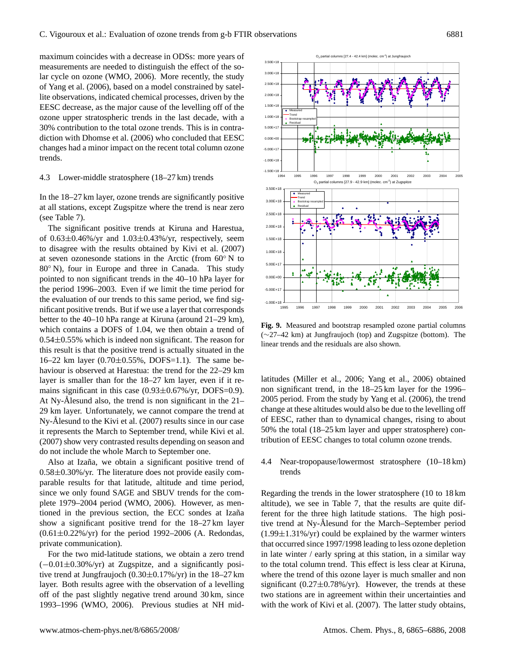maximum coincides with a decrease in ODSs: more years of measurements are needed to distinguish the effect of the solar cycle on ozone (WMO, 2006). More recently, the study of Yang et al. (2006), based on a model constrained by satellite observations, indicated chemical processes, driven by the EESC decrease, as the major cause of the levelling off of the ozone upper stratospheric trends in the last decade, with a 30% contribution to the total ozone trends. This is in contradiction with Dhomse et al. (2006) who concluded that EESC changes had a minor impact on the recent total column ozone trends.

## 4.3 Lower-middle stratosphere (18–27 km) trends

In the 18–27 km layer, ozone trends are significantly positive at all stations, except Zugspitze where the trend is near zero (see Table 7).

The significant positive trends at Kiruna and Harestua, of  $0.63\pm0.46\%$ /yr and  $1.03\pm0.43\%$ /yr, respectively, seem to disagree with the results obtained by Kivi et al. (2007) at seven ozonesonde stations in the Arctic (from 60◦ N to 80<sup>°</sup> N), four in Europe and three in Canada. This study pointed to non significant trends in the 40–10 hPa layer for the period 1996–2003. Even if we limit the time period for the evaluation of our trends to this same period, we find significant positive trends. But if we use a layer that corresponds better to the 40–10 hPa range at Kiruna (around 21–29 km), which contains a DOFS of 1.04, we then obtain a trend of 0.54±0.55% which is indeed non significant. The reason for this result is that the positive trend is actually situated in the 16–22 km layer  $(0.70 \pm 0.55\%$ , DOFS=1.1). The same behaviour is observed at Harestua: the trend for the 22–29 km layer is smaller than for the 18–27 km layer, even if it remains significant in this case  $(0.93\pm0.67\%/yr, DOFS=0.9)$ . At Ny-Ålesund also, the trend is non significant in the  $21-$ 29 km layer. Unfortunately, we cannot compare the trend at  $Ny$ -Ålesund to the Kivi et al. (2007) results since in our case it represents the March to September trend, while Kivi et al. (2007) show very contrasted results depending on season and do not include the whole March to September one.

Also at Izaña, we obtain a significant positive trend of 0.58±0.30%/yr. The literature does not provide easily comparable results for that latitude, altitude and time period, since we only found SAGE and SBUV trends for the complete 1979–2004 period (WMO, 2006). However, as mentioned in the previous section, the ECC sondes at Izaña show a significant positive trend for the 18–27 km layer  $(0.61 \pm 0.22\%/yr)$  for the period 1992–2006 (A. Redondas, private communication).

For the two mid-latitude stations, we obtain a zero trend (−0.01±0.30%/yr) at Zugspitze, and a significantly positive trend at Jungfraujoch (0.30±0.17%/yr) in the 18–27 km layer. Both results agree with the observation of a levelling off of the past slightly negative trend around 30 km, since 1993–1996 (WMO, 2006). Previous studies at NH mid-



**Fig. 9.** Measured and bootstrap resampled ozone partial columns (∼27–42 km) at Jungfraujoch (top) and Zugspitze (bottom). The linear trends and the residuals are also shown.

latitudes (Miller et al., 2006; Yang et al., 2006) obtained non significant trend, in the 18–25 km layer for the 1996– 2005 period. From the study by Yang et al. (2006), the trend change at these altitudes would also be due to the levelling off of EESC, rather than to dynamical changes, rising to about 50% the total (18–25 km layer and upper stratosphere) contribution of EESC changes to total column ozone trends.

## 4.4 Near-tropopause/lowermost stratosphere (10–18 km) trends

Regarding the trends in the lower stratosphere (10 to 18 km altitude), we see in Table 7, that the results are quite different for the three high latitude stations. The high positive trend at Ny-Ålesund for the March–September period  $(1.99 \pm 1.31\%/yr)$  could be explained by the warmer winters that occurred since 1997/1998 leading to less ozone depletion in late winter / early spring at this station, in a similar way to the total column trend. This effect is less clear at Kiruna, where the trend of this ozone layer is much smaller and non significant (0.27 $\pm$ 0.78%/yr). However, the trends at these two stations are in agreement within their uncertainties and with the work of Kivi et al. (2007). The latter study obtains,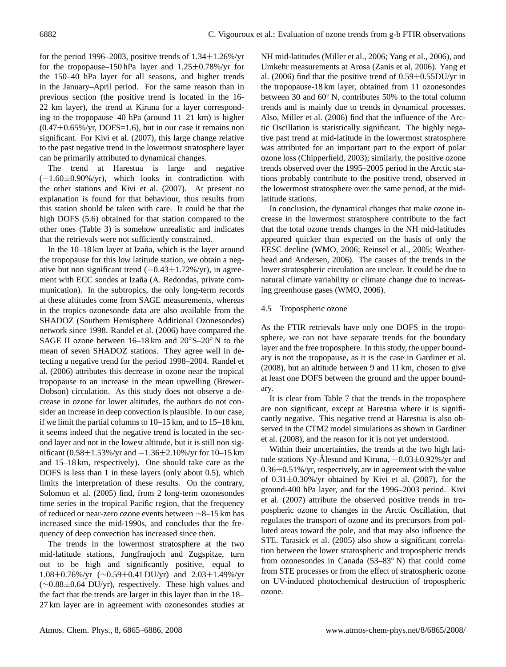for the period 1996–2003, positive trends of  $1.34 \pm 1.26\%$ /yr for the tropopause–150 hPa layer and 1.25±0.78%/yr for the 150–40 hPa layer for all seasons, and higher trends in the January–April period. For the same reason than in previous section (the positive trend is located in the 16- 22 km layer), the trend at Kiruna for a layer corresponding to the tropopause–40 hPa (around 11–21 km) is higher  $(0.47\pm0.65\%/yr, DOFS=1.6)$ , but in our case it remains non significant. For Kivi et al. (2007), this large change relative to the past negative trend in the lowermost stratosphere layer can be primarily attributed to dynamical changes.

The trend at Harestua is large and negative (−1.60±0.90%/yr), which looks in contradiction with the other stations and Kivi et al. (2007). At present no explanation is found for that behaviour, thus results from this station should be taken with care. It could be that the high DOFS (5.6) obtained for that station compared to the other ones (Table 3) is somehow unrealistic and indicates that the retrievals were not sufficiently constrained.

In the 10–18 km layer at Izaña, which is the layer around the tropopause for this low latitude station, we obtain a negative but non significant trend  $(-0.43±1.72\%/yr)$ , in agreement with ECC sondes at Izaña (A. Redondas, private communication). In the subtropics, the only long-term records at these altitudes come from SAGE measurements, whereas in the tropics ozonesonde data are also available from the SHADOZ (Southern Hemisphere Additional Ozonesondes) network since 1998. Randel et al. (2006) have compared the SAGE II ozone between 16–18 km and 20◦S–20◦ N to the mean of seven SHADOZ stations. They agree well in detecting a negative trend for the period 1998–2004. Randel et al. (2006) attributes this decrease in ozone near the tropical tropopause to an increase in the mean upwelling (Brewer-Dobson) circulation. As this study does not observe a decrease in ozone for lower altitudes, the authors do not consider an increase in deep convection is plausible. In our case, if we limit the partial columns to 10–15 km, and to 15–18 km, it seems indeed that the negative trend is located in the second layer and not in the lowest altitude, but it is still non significant (0.58±1.53%/yr and −1.36±2.10%/yr for 10–15 km and 15–18 km, respectively). One should take care as the DOFS is less than 1 in these layers (only about 0.5), which limits the interpretation of these results. On the contrary, Solomon et al. (2005) find, from 2 long-term ozonesondes time series in the tropical Pacific region, that the frequency of reduced or near-zero ozone events between ∼8–15 km has increased since the mid-1990s, and concludes that the frequency of deep convection has increased since then.

The trends in the lowermost stratosphere at the two mid-latitude stations, Jungfraujoch and Zugspitze, turn out to be high and significantly positive, equal to 1.08±0.76%/yr (∼0.59±0.41 DU/yr) and 2.03±1.49%/yr (∼0.88±0.64 DU/yr), respectively. These high values and the fact that the trends are larger in this layer than in the 18– 27 km layer are in agreement with ozonesondes studies at NH mid-latitudes (Miller et al., 2006; Yang et al., 2006), and Umkehr measurements at Arosa (Zanis et al, 2006). Yang et al. (2006) find that the positive trend of  $0.59 \pm 0.55$ DU/yr in the tropopause-18 km layer, obtained from 11 ozonesondes between 30 and 60◦ N, contributes 50% to the total column trends and is mainly due to trends in dynamical processes. Also, Miller et al. (2006) find that the influence of the Arctic Oscillation is statistically significant. The highly negative past trend at mid-latitude in the lowermost stratosphere was attributed for an important part to the export of polar ozone loss (Chipperfield, 2003); similarly, the positive ozone trends observed over the 1995–2005 period in the Arctic stations probably contribute to the positive trend, observed in the lowermost stratosphere over the same period, at the midlatitude stations.

In conclusion, the dynamical changes that make ozone increase in the lowermost stratosphere contribute to the fact that the total ozone trends changes in the NH mid-latitudes appeared quicker than expected on the basis of only the EESC decline (WMO, 2006; Reinsel et al., 2005; Weatherhead and Andersen, 2006). The causes of the trends in the lower stratospheric circulation are unclear. It could be due to natural climate variability or climate change due to increasing greenhouse gases (WMO, 2006).

## 4.5 Tropospheric ozone

As the FTIR retrievals have only one DOFS in the troposphere, we can not have separate trends for the boundary layer and the free troposphere. In this study, the upper boundary is not the tropopause, as it is the case in Gardiner et al. (2008), but an altitude between 9 and 11 km, chosen to give at least one DOFS between the ground and the upper boundary.

It is clear from Table 7 that the trends in the troposphere are non significant, except at Harestua where it is significantly negative. This negative trend at Harestua is also observed in the CTM2 model simulations as shown in Gardiner et al. (2008), and the reason for it is not yet understood.

Within their uncertainties, the trends at the two high latitude stations Ny-Ålesund and Kiruna,  $-0.03\pm0.92\%$ /yr and  $0.36\pm0.51\%$ /yr, respectively, are in agreement with the value of  $0.31 \pm 0.30\%$ /yr obtained by Kivi et al. (2007), for the ground-400 hPa layer, and for the 1996–2003 period. Kivi et al. (2007) attribute the observed positive trends in tropospheric ozone to changes in the Arctic Oscillation, that regulates the transport of ozone and its precursors from polluted areas toward the pole, and that may also influence the STE. Tarasick et al. (2005) also show a significant correlation between the lower stratospheric and tropospheric trends from ozonesondes in Canada (53–83° N) that could come from STE processes or from the effect of stratospheric ozone on UV-induced photochemical destruction of tropospheric ozone.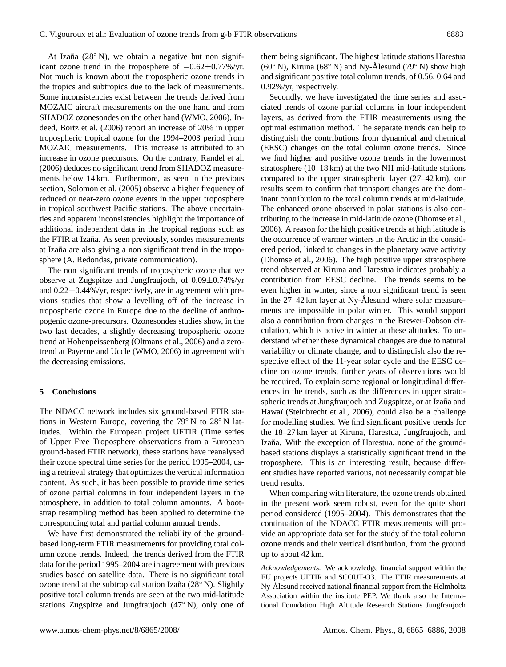At Izaña (28° N), we obtain a negative but non significant ozone trend in the troposphere of  $-0.62\pm0.77\%$ /yr. Not much is known about the tropospheric ozone trends in the tropics and subtropics due to the lack of measurements. Some inconsistencies exist between the trends derived from MOZAIC aircraft measurements on the one hand and from SHADOZ ozonesondes on the other hand (WMO, 2006). Indeed, Bortz et al. (2006) report an increase of 20% in upper tropospheric tropical ozone for the 1994–2003 period from MOZAIC measurements. This increase is attributed to an increase in ozone precursors. On the contrary, Randel et al. (2006) deduces no significant trend from SHADOZ measurements below 14 km. Furthermore, as seen in the previous section, Solomon et al. (2005) observe a higher frequency of reduced or near-zero ozone events in the upper troposphere in tropical southwest Pacific stations. The above uncertainties and apparent inconsistencies highlight the importance of additional independent data in the tropical regions such as the FTIR at Izaña. As seen previously, sondes measurements at Izaña are also giving a non significant trend in the troposphere (A. Redondas, private communication).

The non significant trends of tropospheric ozone that we observe at Zugspitze and Jungfraujoch, of 0.09±0.74%/yr and  $0.22\pm0.44\%$ /yr, respectively, are in agreement with previous studies that show a levelling off of the increase in tropospheric ozone in Europe due to the decline of anthropogenic ozone-precursors. Ozonesondes studies show, in the two last decades, a slightly decreasing tropospheric ozone trend at Hohenpeissenberg (Oltmans et al., 2006) and a zerotrend at Payerne and Uccle (WMO, 2006) in agreement with the decreasing emissions.

#### **5 Conclusions**

The NDACC network includes six ground-based FTIR stations in Western Europe, covering the 79◦ N to 28◦ N latitudes. Within the European project UFTIR (Time series of Upper Free Troposphere observations from a European ground-based FTIR network), these stations have reanalysed their ozone spectral time series for the period 1995–2004, using a retrieval strategy that optimizes the vertical information content. As such, it has been possible to provide time series of ozone partial columns in four independent layers in the atmosphere, in addition to total column amounts. A bootstrap resampling method has been applied to determine the corresponding total and partial column annual trends.

We have first demonstrated the reliability of the groundbased long-term FTIR measurements for providing total column ozone trends. Indeed, the trends derived from the FTIR data for the period 1995–2004 are in agreement with previous studies based on satellite data. There is no significant total ozone trend at the subtropical station Izaña ( $28^{\circ}$  N). Slightly positive total column trends are seen at the two mid-latitude stations Zugspitze and Jungfraujoch (47◦ N), only one of them being significant. The highest latitude stations Harestua (60 $\degree$  N), Kiruna (68 $\degree$  N) and Ny-Ålesund (79 $\degree$  N) show high and significant positive total column trends, of 0.56, 0.64 and 0.92%/yr, respectively.

Secondly, we have investigated the time series and associated trends of ozone partial columns in four independent layers, as derived from the FTIR measurements using the optimal estimation method. The separate trends can help to distinguish the contributions from dynamical and chemical (EESC) changes on the total column ozone trends. Since we find higher and positive ozone trends in the lowermost stratosphere (10–18 km) at the two NH mid-latitude stations compared to the upper stratospheric layer (27–42 km), our results seem to confirm that transport changes are the dominant contribution to the total column trends at mid-latitude. The enhanced ozone observed in polar stations is also contributing to the increase in mid-latitude ozone (Dhomse et al., 2006). A reason for the high positive trends at high latitude is the occurrence of warmer winters in the Arctic in the considered period, linked to changes in the planetary wave activity (Dhomse et al., 2006). The high positive upper stratosphere trend observed at Kiruna and Harestua indicates probably a contribution from EESC decline. The trends seems to be even higher in winter, since a non significant trend is seen in the  $27-42 \text{ km}$  layer at Ny-Ålesund where solar measurements are impossible in polar winter. This would support also a contribution from changes in the Brewer-Dobson circulation, which is active in winter at these altitudes. To understand whether these dynamical changes are due to natural variability or climate change, and to distinguish also the respective effect of the 11-year solar cycle and the EESC decline on ozone trends, further years of observations would be required. To explain some regional or longitudinal differences in the trends, such as the differences in upper stratospheric trends at Jungfraujoch and Zugspitze, or at Izaña and Hawaï (Steinbrecht et al., 2006), could also be a challenge for modelling studies. We find significant positive trends for the 18–27 km layer at Kiruna, Harestua, Jungfraujoch, and Izaña. With the exception of Harestua, none of the groundbased stations displays a statistically significant trend in the troposphere. This is an interesting result, because different studies have reported various, not necessarily compatible trend results.

When comparing with literature, the ozone trends obtained in the present work seem robust, even for the quite short period considered (1995–2004). This demonstrates that the continuation of the NDACC FTIR measurements will provide an appropriate data set for the study of the total column ozone trends and their vertical distribution, from the ground up to about 42 km.

*Acknowledgements.* We acknowledge financial support within the EU projects UFTIR and SCOUT-O3. The FTIR measurements at Ny-Ålesund received national financial support from the Helmholtz Association within the institute PEP. We thank also the International Foundation High Altitude Research Stations Jungfraujoch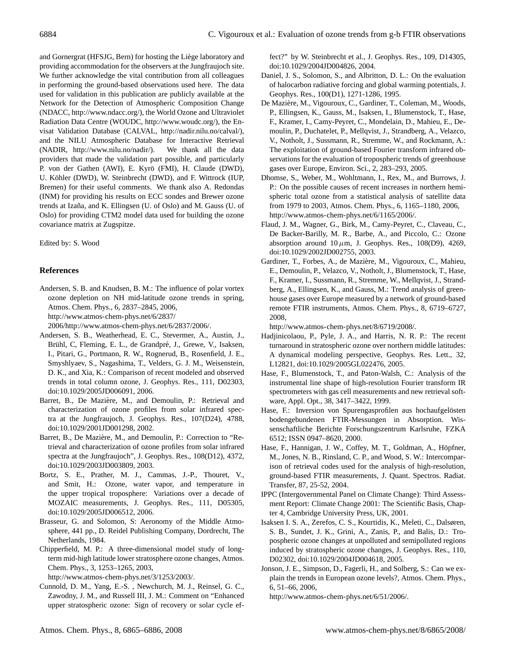and Gornergrat (HFSJG, Bern) for hosting the Liège laboratory and providing accommodation for the observers at the Jungfraujoch site. We further acknowledge the vital contribution from all colleagues in performing the ground-based observations used here. The data used for validation in this publication are publicly available at the Network for the Detection of Atmospheric Composition Change (NDACC, http://www.ndacc.org/), the World Ozone and Ultraviolet Radiation Data Centre (WOUDC, http://www.woudc.org/), the Envisat Validation Database (CALVAL, http://nadir.nilu.no/calval/), and the NILU Atmospheric Database for Interactive Retrieval (NADIR, http://www.nilu.no/nadir/). We thank all the data providers that made the validation part possible, and particularly P. von der Gathen (AWI), E. Kyrö (FMI), H. Claude (DWD), U. Köhler (DWD), W. Steinbrecht (DWD), and F. Wittrock (IUP, Bremen) for their useful comments. We thank also A. Redondas (INM) for providing his results on ECC sondes and Brewer ozone trends at Izaña, and K. Ellingsen (U. of Oslo) and M. Gauss (U. of Oslo) for providing CTM2 model data used for building the ozone covariance matrix at Zugspitze.

Edited by: S. Wood

# **References**

Andersen, S. B. and Knudsen, B. M.: The influence of polar vortex ozone depletion on NH mid-latitude ozone trends in spring, Atmos. Chem. Phys., 6, 2837–2845, 2006, http://www.atmos-chem-phys.net/6/2837/

2006/http://www.atmos-chem-phys.net/6/2837/2006/.

- Andersen, S. B., Weatherhead, E. C., Stevermer, A., Austin, J., Brühl, C, Fleming, E. L., de Grandpré, J., Grewe, V., Isaksen, I., Pitari, G., Portmann, R. W., Rognerud, B., Rosenfield, J. E., Smyshlyaev, S., Nagashima, T., Velders, G. J. M., Weisenstein, D. K., and Xia, K.: Comparison of recent modeled and observed trends in total column ozone, J. Geophys. Res., 111, D02303, doi:10.1029/2005JD006091, 2006.
- Barret, B., De Mazière, M., and Demoulin, P.: Retrieval and characterization of ozone profiles from solar infrared spectra at the Jungfraujoch, J. Geophys. Res., 107(D24), 4788, doi:10.1029/2001JD001298, 2002.
- Barret, B., De Mazière, M., and Demoulin, P.: Correction to "Retrieval and characterization of ozone profiles from solar infrared spectra at the Jungfraujoch", J. Geophys. Res., 108(D12), 4372, doi:10.1029/2003JD003809, 2003.
- Bortz, S. E., Prather, M. J., Cammas, J.-P., Thouret, V., and Smit, H.: Ozone, water vapor, and temperature in the upper tropical troposphere: Variations over a decade of MOZAIC measurements, J. Geophys. Res., 111, D05305, doi:10.1029/2005JD006512, 2006.
- Brasseur, G. and Solomon, S: Aeronomy of the Middle Atmosphere, 441 pp., D. Reidel Publishing Company, Dordrecht, The Netherlands, 1984.
- Chipperfield, M. P.: A three-dimensional model study of longterm mid-high latitude lower stratosphere ozone changes, Atmos. Chem. Phys., 3, 1253–1265, 2003,

http://www.atmos-chem-phys.net/3/1253/2003/.

Cunnold, D. M., Yang, E.-S. , Newchurch, M. J., Reinsel, G. C., Zawodny, J. M., and Russell III, J. M.: Comment on "Enhanced upper stratospheric ozone: Sign of recovery or solar cycle effect?" by W. Steinbrecht et al., J. Geophys. Res., 109, D14305, doi:10.1029/2004JD004826, 2004.

- Daniel, J. S., Solomon, S., and Albritton, D. L.: On the evaluation of halocarbon radiative forcing and global warming potentials, J. Geophys. Res., 100(D1), 1271-1286, 1995.
- De Maziere, M., Vigouroux, C., Gardiner, T., Coleman, M., Woods, ` P., Ellingsen, K., Gauss, M., Isaksen, I., Blumenstock, T., Hase, F., Kramer, I., Camy-Peyret, C., Mondelain, D., Mahieu, E., Demoulin, P., Duchatelet, P., Mellqvist, J., Strandberg, A., Velazco, V., Notholt, J., Sussmann, R., Stremme, W., and Rockmann, A.: The exploitation of ground-based Fourier transform infrared observations for the evaluation of tropospheric trends of greenhouse gases over Europe, Environ. Sci., 2, 283–293, 2005.
- Dhomse, S., Weber, M., Wohltmann, I., Rex, M., and Burrows, J. P.: On the possible causes of recent increases in northern hemispheric total ozone from a statistical analysis of satellite data from 1979 to 2003, Atmos. Chem. Phys., 6, 1165–1180, 2006, http://www.atmos-chem-phys.net/6/1165/2006/.
- Flaud, J. M., Wagner, G., Birk, M., Camy-Peyret, C., Claveau, C., De Backer-Barilly, M. R., Barbe, A., and Piccolo, C.: Ozone absorption around  $10 \mu$ m, J. Geophys. Res., 108(D9), 4269, doi:10.1029/2002JD002755, 2003.
- Gardiner, T., Forbes, A., de Maziere, M., Vigouroux, C., Mahieu, ` E., Demoulin, P., Velazco, V., Notholt, J., Blumenstock, T., Hase, F., Kramer, I., Sussmann, R., Stremme, W., Mellqvist, J., Strandberg, A., Ellingsen, K., and Gauss, M.: Trend analysis of greenhouse gases over Europe measured by a network of ground-based remote FTIR instruments, Atmos. Chem. Phys., 8, 6719–6727, 2008,

http://www.atmos-chem-phys.net/8/6719/2008/.

- Hadjinicolaou, P., Pyle, J. A., and Harris, N. R. P.: The recent turnaround in stratospheric ozone over northern middle latitudes: A dynamical modeling perspective, Geophys. Res. Lett., 32, L12821, doi:10.1029/2005GL022476, 2005.
- Hase, F., Blumenstock, T., and Paton-Walsh, C.: Analysis of the instrumental line shape of high-resolution Fourier transform IR spectrometers with gas cell measurements and new retrieval software, Appl. Opt., 38, 3417–3422, 1999.
- Hase, F.: Inversion von Spurengasprofilen aus hochaufgelösten bodengebundenen FTIR-Messungen in Absorption. Wissenschaftliche Berichte Forschungszentrum Karlsruhe, FZKA 6512; ISSN 0947–8620, 2000.
- Hase, F., Hannigan, J. W., Coffey, M. T., Goldman, A., Höpfner, M., Jones, N. B., Rinsland, C. P., and Wood, S. W.: Intercomparison of retrieval codes used for the analysis of high-resolution, ground-based FTIR measurements, J. Quant. Spectros. Radiat. Transfer, 87, 25-52, 2004.
- IPPC (Intergovernmental Panel on Climate Change): Third Assessment Report: Climate Change 2001: The Scientific Basis, Chapter 4, Cambridge University Press, UK, 2001.
- Isaksen I. S. A., Zerefos, C. S., Kourtidis, K., Meleti, C., Dalsøren, S. B., Sundet, J. K., Grini, A., Zanis, P., and Balis, D.: Tropospheric ozone changes at unpolluted and semipolluted regions induced by stratospheric ozone changes, J. Geophys. Res., 110, D02302, doi:10.1029/2004JD004618, 2005.
- Jonson, J. E., Simpson, D., Fagerli, H., and Solberg, S.: Can we explain the trends in European ozone levels?, Atmos. Chem. Phys., 6, 51–66, 2006,
	- http://www.atmos-chem-phys.net/6/51/2006/.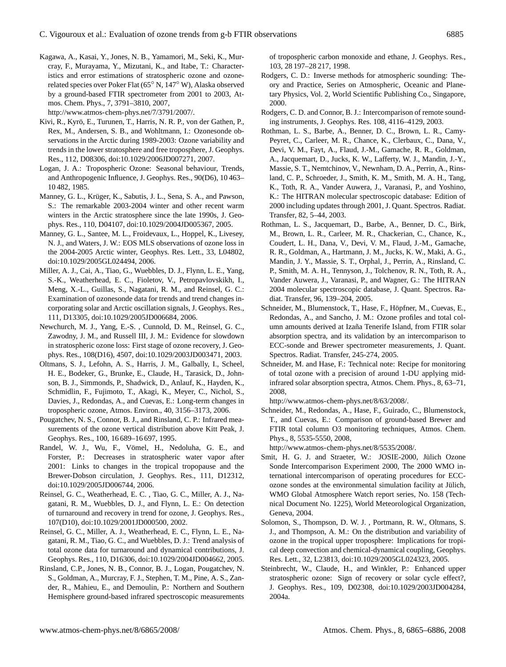Kagawa, A., Kasai, Y., Jones, N. B., Yamamori, M., Seki, K., Murcray, F., Murayama, Y., Mizutani, K., and Itabe, T.: Characteristics and error estimations of stratospheric ozone and ozonerelated species over Poker Flat (65◦ N, 147◦ W), Alaska observed by a ground-based FTIR spectrometer from 2001 to 2003, Atmos. Chem. Phys., 7, 3791–3810, 2007,

http://www.atmos-chem-phys.net/7/3791/2007/.

- Kivi, R., Kyrö, E., Turunen, T., Harris, N. R. P., von der Gathen, P., Rex, M., Andersen, S. B., and Wohltmann, I.: Ozonesonde observations in the Arctic during 1989-2003: Ozone variability and trends in the lower stratosphere and free troposphere, J. Geophys. Res., 112, D08306, doi:10.1029/2006JD007271, 2007.
- Logan, J. A.: Tropospheric Ozone: Seasonal behaviour, Trends, and Anthropogenic Influence, J. Geophys. Res., 90(D6), 10 463– 10 482, 1985.
- Manney, G. L., Krüger, K., Sabutis, J. L., Sena, S. A., and Pawson, S.: The remarkable 2003-2004 winter and other recent warm winters in the Arctic stratosphere since the late 1990s, J. Geophys. Res., 110, D04107, doi:10.1029/2004JD005367, 2005.
- Manney, G. L., Santee, M. L., Froidevaux, L., Hoppel, K., Livesey, N. J., and Waters, J. W.: EOS MLS observations of ozone loss in the 2004-2005 Arctic winter, Geophys. Res. Lett., 33, L04802, doi:10.1029/2005GL024494, 2006.
- Miller, A. J., Cai, A., Tiao, G., Wuebbles, D. J., Flynn, L. E., Yang, S.-K., Weatherhead, E. C., Fioletov, V., Petropavlovskikh, I., Meng, X.-L., Guillas, S., Nagatani, R. M., and Reinsel, G. C.: Examination of ozonesonde data for trends and trend changes incorporating solar and Arctic oscillation signals, J. Geophys. Res., 111, D13305, doi:10.1029/2005JD006684, 2006.
- Newchurch, M. J., Yang, E.-S. , Cunnold, D. M., Reinsel, G. C., Zawodny, J. M., and Russell III, J. M.: Evidence for slowdown in stratospheric ozone loss: First stage of ozone recovery, J. Geophys. Res., 108(D16), 4507, doi:10.1029/2003JD003471, 2003.
- Oltmans, S. J., Lefohn, A. S., Harris, J. M., Galbally, I., Scheel, H. E., Bodeker, G., Brunke, E., Claude, H., Tarasick, D., Johnson, B. J., Simmonds, P., Shadwick, D., Anlauf, K., Hayden, K., Schmidlin, F., Fujimoto, T., Akagi, K., Meyer, C., Nichol, S., Davies, J., Redondas, A., and Cuevas, E.: Long-term changes in tropospheric ozone, Atmos. Environ., 40, 3156–3173, 2006.
- Pougatchev, N. S., Connor, B. J., and Rinsland, C. P.: Infrared measurements of the ozone vertical distribution above Kitt Peak, J. Geophys. Res., 100, 16 689–16 697, 1995.
- Randel, W. J., Wu, F., Vömel, H., Nedoluha, G. E., and Forster, P.: Decreases in stratospheric water vapor after 2001: Links to changes in the tropical tropopause and the Brewer-Dobson circulation, J. Geophys. Res., 111, D12312, doi:10.1029/2005JD006744, 2006.
- Reinsel, G. C., Weatherhead, E. C. , Tiao, G. C., Miller, A. J., Nagatani, R. M., Wuebbles, D. J., and Flynn, L. E.: On detection of turnaround and recovery in trend for ozone, J. Geophys. Res., 107(D10), doi:10.1029/2001JD000500, 2002.
- Reinsel, G. C., Miller, A. J., Weatherhead, E. C., Flynn, L. E., Nagatani, R. M., Tiao, G. C., and Wuebbles, D. J.: Trend analysis of total ozone data for turnaround and dynamical contributions, J. Geophys. Res., 110, D16306, doi:10.1029/2004JD004662, 2005.
- Rinsland, C.P., Jones, N. B., Connor, B. J., Logan, Pougatchev, N. S., Goldman, A., Murcray, F. J., Stephen, T. M., Pine, A. S., Zander, R., Mahieu, E., and Demoulin, P.: Northern and Southern Hemisphere ground-based infrared spectroscopic measurements

of tropospheric carbon monoxide and ethane, J. Geophys. Res., 103, 28 197–28 217, 1998.

- Rodgers, C. D.: Inverse methods for atmospheric sounding: Theory and Practice, Series on Atmospheric, Oceanic and Planetary Physics, Vol. 2, World Scientific Publishing Co., Singapore, 2000.
- Rodgers, C. D. and Connor, B. J.: Intercomparison of remote sounding instruments, J. Geophys. Res. 108, 4116–4129, 2003.
- Rothman, L. S., Barbe, A., Benner, D. C., Brown, L. R., Camy-Peyret, C., Carleer, M. R., Chance, K., Clerbaux, C., Dana, V., Devi, V. M., Fayt, A., Flaud, J.-M., Gamache, R. R., Goldman, A., Jacquemart, D., Jucks, K. W., Lafferty, W. J., Mandin, J.-Y., Massie, S. T., Nemtchinov, V., Newnham, D. A., Perrin, A., Rinsland, C. P., Schroeder, J., Smith, K. M., Smith, M. A. H., Tang, K., Toth, R. A., Vander Auwera, J., Varanasi, P., and Yoshino, K.: The HITRAN molecular spectroscopic database: Edition of 2000 including updates through 2001, J. Quant. Spectros. Radiat. Transfer, 82, 5–44, 2003.
- Rothman, L. S., Jacquemart, D., Barbe, A., Benner, D. C., Birk, M., Brown, L. R., Carleer, M. R., Chackerian, C., Chance, K., Coudert, L. H., Dana, V., Devi, V. M., Flaud, J.-M., Gamache, R. R., Goldman, A., Hartmann, J. M., Jucks, K. W., Maki, A. G., Mandin, J. Y., Massie, S. T., Orphal, J., Perrin, A., Rinsland, C. P., Smith, M. A. H., Tennyson, J., Tolchenov, R. N., Toth, R. A., Vander Auwera, J., Varanasi, P., and Wagner, G.: The HITRAN 2004 molecular spectroscopic database, J. Quant. Spectros. Radiat. Transfer, 96, 139–204, 2005.
- Schneider, M., Blumenstock, T., Hase, F., Höpfner, M., Cuevas, E., Redondas, A., and Sancho, J. M.: Ozone profiles and total column amounts derived at Izaña Tenerife Island, from FTIR solar absorption spectra, and its validation by an intercomparison to ECC-sonde and Brewer spectrometer measurements, J. Quant. Spectros. Radiat. Transfer, 245-274, 2005.
- Schneider, M. and Hase, F.: Technical note: Recipe for monitoring of total ozone with a precision of around 1-DU applying midinfrared solar absorption spectra, Atmos. Chem. Phys., 8, 63–71, 2008,

http://www.atmos-chem-phys.net/8/63/2008/.

Schneider, M., Redondas, A., Hase, F., Guirado, C., Blumenstock, T., and Cuevas, E.: Comparison of ground-based Brewer and FTIR total column O3 monitoring techniques, Atmos. Chem. Phys., 8, 5535-5550, 2008,

http://www.atmos-chem-phys.net/8/5535/2008/.

- Smit, H. G. J. and Straeter, W.: JOSIE-2000, Jülich Ozone Sonde Intercomparison Experiment 2000, The 2000 WMO international intercomparison of operating procedures for ECCozone sondes at the environmental simulation facility at Jülich, WMO Global Atmosphere Watch report series, No. 158 (Technical Document No. 1225), World Meteorological Organization, Geneva, 2004.
- Solomon, S., Thompson, D. W. J. , Portmann, R. W., Oltmans, S. J., and Thompson, A. M.: On the distribution and variability of ozone in the tropical upper troposphere: Implications for tropical deep convection and chemical-dynamical coupling, Geophys. Res. Lett., 32, L23813, doi:10.1029/2005GL024323, 2005.
- Steinbrecht, W., Claude, H., and Winkler, P.: Enhanced upper stratospheric ozone: Sign of recovery or solar cycle effect?, J. Geophys. Res., 109, D02308, doi:10.1029/2003JD004284, 2004a.